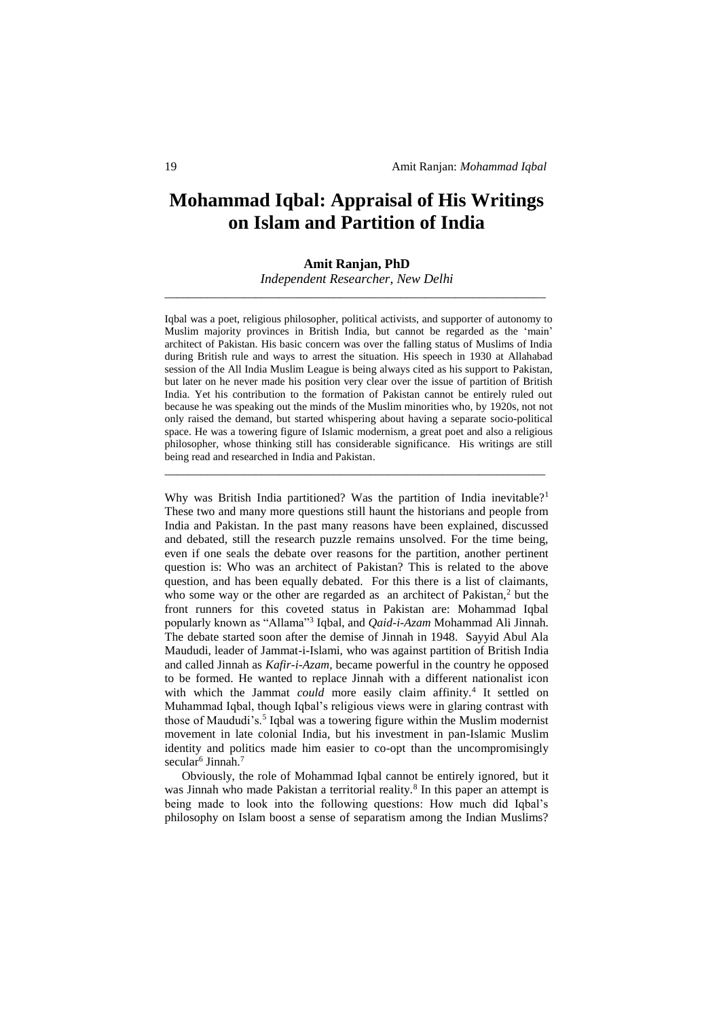# **Mohammad Iqbal: Appraisal of His Writings on Islam and Partition of India**

# **Amit Ranjan, PhD**

*Independent Researcher, New Delhi* \_\_\_\_\_\_\_\_\_\_\_\_\_\_\_\_\_\_\_\_\_\_\_\_\_\_\_\_\_\_\_\_\_\_\_\_\_\_\_\_\_\_\_\_\_\_\_\_\_\_\_\_\_\_\_\_\_\_\_\_\_\_\_

Iqbal was a poet, religious philosopher, political activists, and supporter of autonomy to Muslim majority provinces in British India, but cannot be regarded as the 'main' architect of Pakistan. His basic concern was over the falling status of Muslims of India during British rule and ways to arrest the situation. His speech in 1930 at Allahabad session of the All India Muslim League is being always cited as his support to Pakistan, but later on he never made his position very clear over the issue of partition of British India. Yet his contribution to the formation of Pakistan cannot be entirely ruled out because he was speaking out the minds of the Muslim minorities who, by 1920s, not not only raised the demand, but started whispering about having a separate socio-political space. He was a towering figure of Islamic modernism, a great poet and also a religious philosopher, whose thinking still has considerable significance. His writings are still being read and researched in India and Pakistan.

\_\_\_\_\_\_\_\_\_\_\_\_\_\_\_\_\_\_\_\_\_\_\_\_\_\_\_\_\_\_\_\_\_\_\_\_\_\_\_\_\_\_\_\_\_\_\_\_\_\_\_\_\_\_\_\_\_\_\_\_\_\_\_

Why was British India partitioned? Was the partition of India inevitable?<sup>1</sup> These two and many more questions still haunt the historians and people from India and Pakistan. In the past many reasons have been explained, discussed and debated, still the research puzzle remains unsolved. For the time being, even if one seals the debate over reasons for the partition, another pertinent question is: Who was an architect of Pakistan? This is related to the above question, and has been equally debated. For this there is a list of claimants, who some way or the other are regarded as an architect of Pakistan,<sup>2</sup> but the front runners for this coveted status in Pakistan are: Mohammad Iqbal popularly known as "Allama"<sup>3</sup> Iqbal, and *Qaid-i-Azam* Mohammad Ali Jinnah. The debate started soon after the demise of Jinnah in 1948. Sayyid Abul Ala Maududi, leader of Jammat-i-Islami, who was against partition of British India and called Jinnah as *Kafir-i-Azam,* became powerful in the country he opposed to be formed. He wanted to replace Jinnah with a different nationalist icon with which the Jammat *could* more easily claim affinity.<sup>4</sup> It settled on Muhammad Iqbal, though Iqbal's religious views were in glaring contrast with those of Maududi's.<sup>5</sup> Iqbal was a towering figure within the Muslim modernist movement in late colonial India, but his investment in pan-Islamic Muslim identity and politics made him easier to co-opt than the uncompromisingly secular<sup>6</sup> Jinnah.<sup>7</sup>

Obviously, the role of Mohammad Iqbal cannot be entirely ignored, but it was Jinnah who made Pakistan a territorial reality.<sup>8</sup> In this paper an attempt is being made to look into the following questions: How much did Iqbal's philosophy on Islam boost a sense of separatism among the Indian Muslims?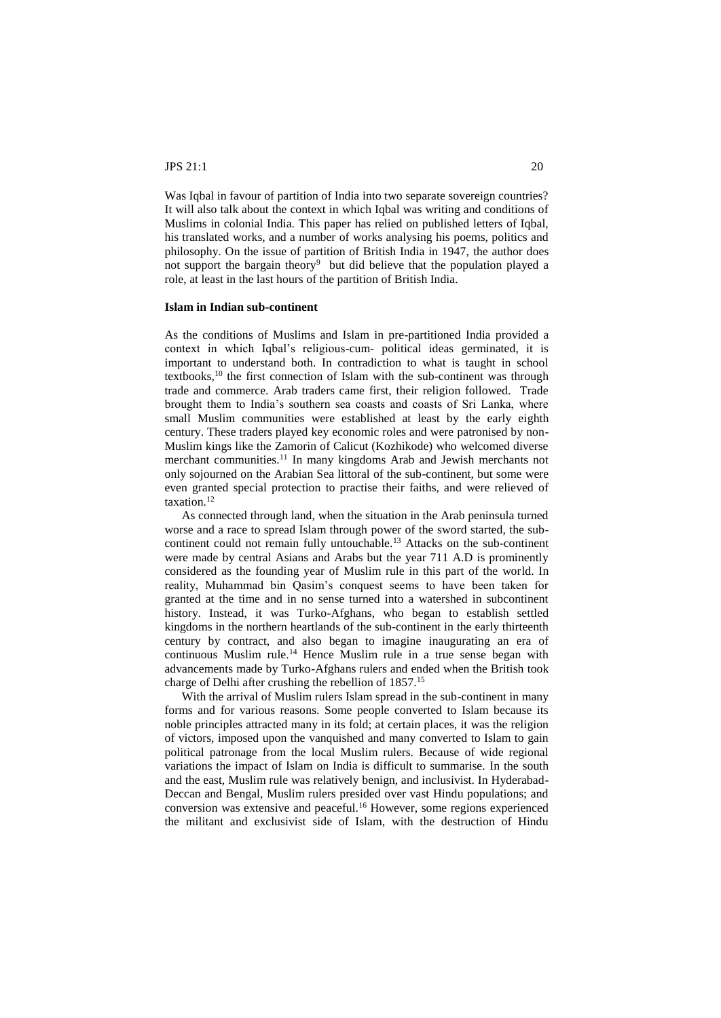Was Iqbal in favour of partition of India into two separate sovereign countries? It will also talk about the context in which Iqbal was writing and conditions of Muslims in colonial India. This paper has relied on published letters of Iqbal, his translated works, and a number of works analysing his poems, politics and philosophy. On the issue of partition of British India in 1947, the author does not support the bargain theory<sup>9</sup> but did believe that the population played a role, at least in the last hours of the partition of British India.

#### **Islam in Indian sub-continent**

As the conditions of Muslims and Islam in pre-partitioned India provided a context in which Iqbal's religious-cum- political ideas germinated, it is important to understand both. In contradiction to what is taught in school textbooks,<sup>10</sup> the first connection of Islam with the sub-continent was through trade and commerce. Arab traders came first, their religion followed. Trade brought them to India's southern sea coasts and coasts of Sri Lanka, where small Muslim communities were established at least by the early eighth century. These traders played key economic roles and were patronised by non-Muslim kings like the Zamorin of Calicut (Kozhikode) who welcomed diverse merchant communities.<sup>11</sup> In many kingdoms Arab and Jewish merchants not only sojourned on the Arabian Sea littoral of the sub-continent, but some were even granted special protection to practise their faiths, and were relieved of taxation.<sup>12</sup>

As connected through land, when the situation in the Arab peninsula turned worse and a race to spread Islam through power of the sword started, the subcontinent could not remain fully untouchable.<sup>13</sup> Attacks on the sub-continent were made by central Asians and Arabs but the year 711 A.D is prominently considered as the founding year of Muslim rule in this part of the world. In reality, Muhammad bin Qasim's conquest seems to have been taken for granted at the time and in no sense turned into a watershed in subcontinent history. Instead, it was Turko-Afghans, who began to establish settled kingdoms in the northern heartlands of the sub-continent in the early thirteenth century by contract, and also began to imagine inaugurating an era of continuous Muslim rule.<sup>14</sup> Hence Muslim rule in a true sense began with advancements made by Turko-Afghans rulers and ended when the British took charge of Delhi after crushing the rebellion of 1857.<sup>15</sup>

With the arrival of Muslim rulers Islam spread in the sub-continent in many forms and for various reasons. Some people converted to Islam because its noble principles attracted many in its fold; at certain places, it was the religion of victors, imposed upon the vanquished and many converted to Islam to gain political patronage from the local Muslim rulers. Because of wide regional variations the impact of Islam on India is difficult to summarise. In the south and the east, Muslim rule was relatively benign, and inclusivist. In Hyderabad-Deccan and Bengal, Muslim rulers presided over vast Hindu populations; and conversion was extensive and peaceful.<sup>16</sup> However, some regions experienced the militant and exclusivist side of Islam, with the destruction of Hindu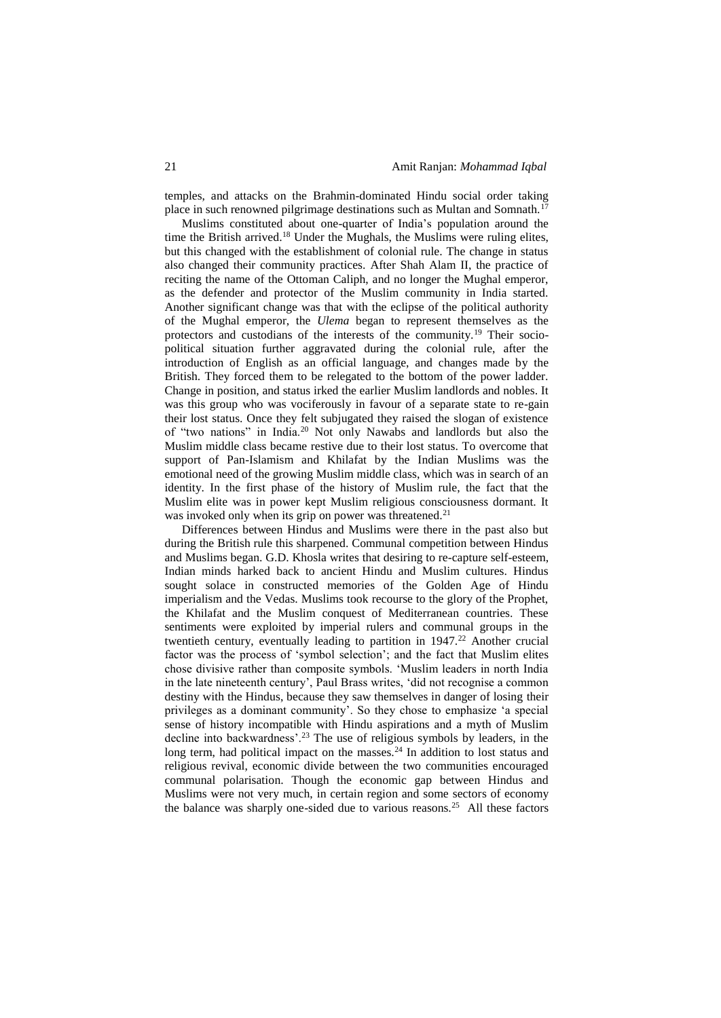temples, and attacks on the Brahmin-dominated Hindu social order taking place in such renowned pilgrimage destinations such as Multan and Somnath.<sup>17</sup>

Muslims constituted about one-quarter of India's population around the time the British arrived.<sup>18</sup> Under the Mughals, the Muslims were ruling elites, but this changed with the establishment of colonial rule. The change in status also changed their community practices. After Shah Alam II, the practice of reciting the name of the Ottoman Caliph, and no longer the Mughal emperor, as the defender and protector of the Muslim community in India started. Another significant change was that with the eclipse of the political authority of the Mughal emperor, the *Ulema* began to represent themselves as the protectors and custodians of the interests of the community.<sup>19</sup> Their sociopolitical situation further aggravated during the colonial rule, after the introduction of English as an official language, and changes made by the British. They forced them to be relegated to the bottom of the power ladder. Change in position, and status irked the earlier Muslim landlords and nobles. It was this group who was vociferously in favour of a separate state to re-gain their lost status. Once they felt subjugated they raised the slogan of existence of "two nations" in India.<sup>20</sup> Not only Nawabs and landlords but also the Muslim middle class became restive due to their lost status. To overcome that support of Pan-Islamism and Khilafat by the Indian Muslims was the emotional need of the growing Muslim middle class, which was in search of an identity. In the first phase of the history of Muslim rule, the fact that the Muslim elite was in power kept Muslim religious consciousness dormant. It was invoked only when its grip on power was threatened.<sup>21</sup>

Differences between Hindus and Muslims were there in the past also but during the British rule this sharpened. Communal competition between Hindus and Muslims began. G.D. Khosla writes that desiring to re-capture self-esteem, Indian minds harked back to ancient Hindu and Muslim cultures. Hindus sought solace in constructed memories of the Golden Age of Hindu imperialism and the Vedas. Muslims took recourse to the glory of the Prophet, the Khilafat and the Muslim conquest of Mediterranean countries. These sentiments were exploited by imperial rulers and communal groups in the twentieth century, eventually leading to partition in  $1947<sup>22</sup>$  Another crucial factor was the process of 'symbol selection'; and the fact that Muslim elites chose divisive rather than composite symbols. 'Muslim leaders in north India in the late nineteenth century', Paul Brass writes, 'did not recognise a common destiny with the Hindus, because they saw themselves in danger of losing their privileges as a dominant community'. So they chose to emphasize 'a special sense of history incompatible with Hindu aspirations and a myth of Muslim decline into backwardness'.<sup>23</sup> The use of religious symbols by leaders, in the long term, had political impact on the masses.<sup>24</sup> In addition to lost status and religious revival, economic divide between the two communities encouraged communal polarisation. Though the economic gap between Hindus and Muslims were not very much, in certain region and some sectors of economy the balance was sharply one-sided due to various reasons.<sup>25</sup> All these factors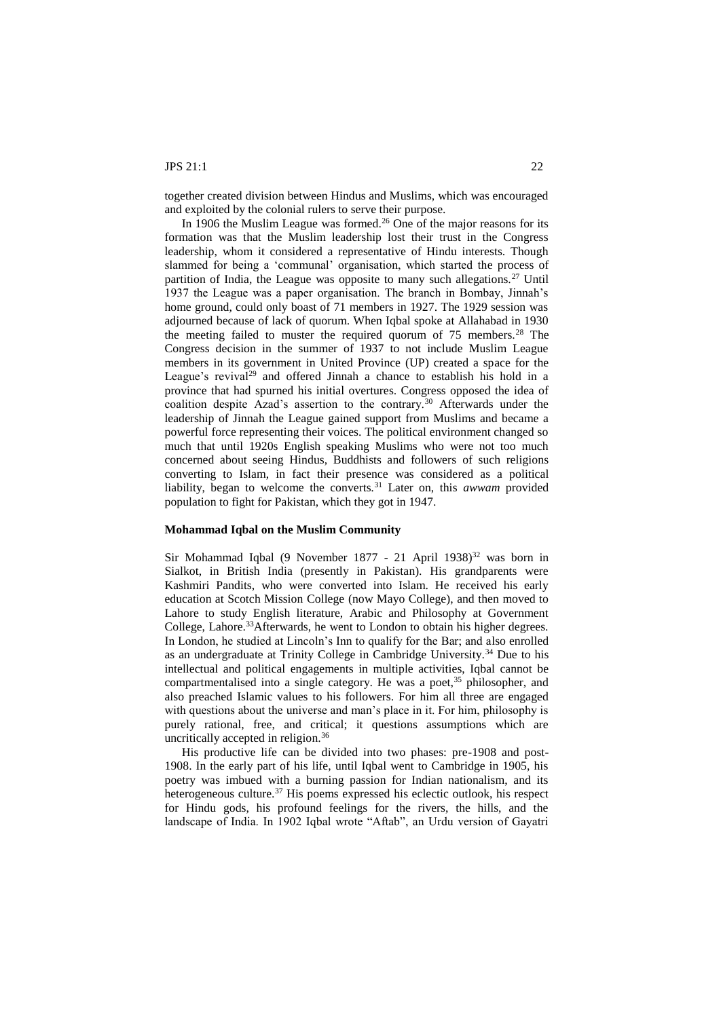together created division between Hindus and Muslims, which was encouraged and exploited by the colonial rulers to serve their purpose.

In 1906 the Muslim League was formed.<sup>26</sup> One of the major reasons for its formation was that the Muslim leadership lost their trust in the Congress leadership, whom it considered a representative of Hindu interests. Though slammed for being a 'communal' organisation, which started the process of partition of India, the League was opposite to many such allegations.<sup>27</sup> Until 1937 the League was a paper organisation. The branch in Bombay, Jinnah's home ground, could only boast of 71 members in 1927. The 1929 session was adjourned because of lack of quorum. When Iqbal spoke at Allahabad in 1930 the meeting failed to muster the required quorum of  $75$  members.<sup>28</sup> The Congress decision in the summer of 1937 to not include Muslim League members in its government in United Province (UP) created a space for the League's revival<sup>29</sup> and offered Jinnah a chance to establish his hold in a province that had spurned his initial overtures. Congress opposed the idea of coalition despite Azad's assertion to the contrary.<sup>30</sup> Afterwards under the leadership of Jinnah the League gained support from Muslims and became a powerful force representing their voices. The political environment changed so much that until 1920s English speaking Muslims who were not too much concerned about seeing Hindus, Buddhists and followers of such religions converting to Islam, in fact their presence was considered as a political liability, began to welcome the converts*.* <sup>31</sup> Later on, this *awwam* provided population to fight for Pakistan, which they got in 1947.

## **Mohammad Iqbal on the Muslim Community**

Sir Mohammad Iqbal (9 November 1877 - 21 April 1938)<sup>32</sup> was born in Sialkot, in British India (presently in Pakistan). His grandparents were Kashmiri Pandits, who were converted into Islam. He received his early education at Scotch Mission College (now Mayo College), and then moved to Lahore to study English literature, Arabic and Philosophy at Government College, Lahore.<sup>33</sup>Afterwards, he went to London to obtain his higher degrees. In London, he studied at Lincoln's Inn to qualify for the Bar; and also enrolled as an undergraduate at Trinity College in Cambridge University.<sup>34</sup> Due to his intellectual and political engagements in multiple activities, Iqbal cannot be compartmentalised into a single category. He was a poet,<sup>35</sup> philosopher, and also preached Islamic values to his followers. For him all three are engaged with questions about the universe and man's place in it. For him, philosophy is purely rational, free, and critical; it questions assumptions which are uncritically accepted in religion.<sup>36</sup>

His productive life can be divided into two phases: pre-1908 and post-1908. In the early part of his life, until Iqbal went to Cambridge in 1905, his poetry was imbued with a burning passion for Indian nationalism, and its heterogeneous culture. $37$  His poems expressed his eclectic outlook, his respect for Hindu gods, his profound feelings for the rivers, the hills, and the landscape of India. In 1902 Iqbal wrote "Aftab", an Urdu version of Gayatri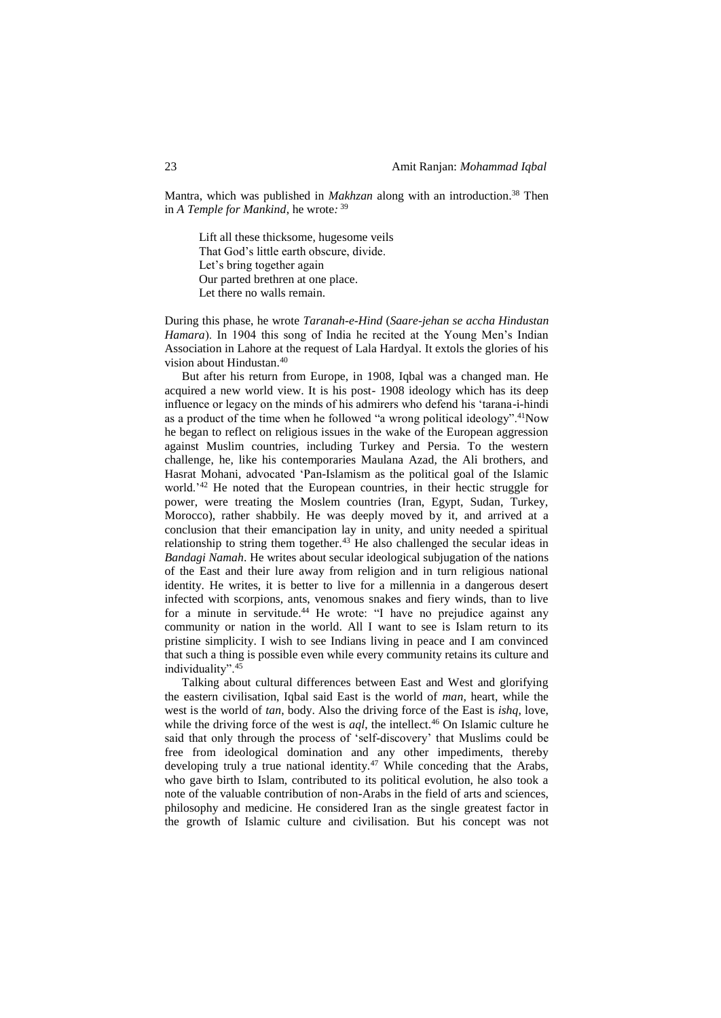Mantra, which was published in *Makhzan* along with an introduction. <sup>38</sup> Then in *A Temple for Mankind*, he wrote*:* 39

Lift all these thicksome, hugesome veils That God's little earth obscure, divide. Let's bring together again Our parted brethren at one place. Let there no walls remain.

During this phase, he wrote *Taranah-e-Hind* (*Saare-jehan se accha Hindustan Hamara*). In 1904 this song of India he recited at the Young Men's Indian Association in Lahore at the request of Lala Hardyal. It extols the glories of his vision about Hindustan.<sup>40</sup>

But after his return from Europe, in 1908, Iqbal was a changed man. He acquired a new world view. It is his post- 1908 ideology which has its deep influence or legacy on the minds of his admirers who defend his 'tarana-i-hindi as a product of the time when he followed "a wrong political ideology".<sup>41</sup>Now he began to reflect on religious issues in the wake of the European aggression against Muslim countries, including Turkey and Persia. To the western challenge, he, like his contemporaries Maulana Azad, the Ali brothers, and Hasrat Mohani, advocated 'Pan-Islamism as the political goal of the Islamic world.'<sup>42</sup> He noted that the European countries, in their hectic struggle for power, were treating the Moslem countries (Iran, Egypt, Sudan, Turkey, Morocco), rather shabbily. He was deeply moved by it, and arrived at a conclusion that their emancipation lay in unity, and unity needed a spiritual relationship to string them together.<sup>43</sup> He also challenged the secular ideas in *Bandagi Namah*. He writes about secular ideological subjugation of the nations of the East and their lure away from religion and in turn religious national identity. He writes, it is better to live for a millennia in a dangerous desert infected with scorpions, ants, venomous snakes and fiery winds, than to live for a minute in servitude.<sup>44</sup> He wrote: "I have no prejudice against any community or nation in the world. All I want to see is Islam return to its pristine simplicity. I wish to see Indians living in peace and I am convinced that such a thing is possible even while every community retains its culture and individuality".<sup>45</sup>

Talking about cultural differences between East and West and glorifying the eastern civilisation, Iqbal said East is the world of *man*, heart, while the west is the world of *tan*, body. Also the driving force of the East is *ishq*, love, while the driving force of the west is *aql*, the intellect.<sup>46</sup> On Islamic culture he said that only through the process of 'self-discovery' that Muslims could be free from ideological domination and any other impediments, thereby developing truly a true national identity.<sup>47</sup> While conceding that the Arabs, who gave birth to Islam, contributed to its political evolution, he also took a note of the valuable contribution of non-Arabs in the field of arts and sciences, philosophy and medicine. He considered Iran as the single greatest factor in the growth of Islamic culture and civilisation. But his concept was not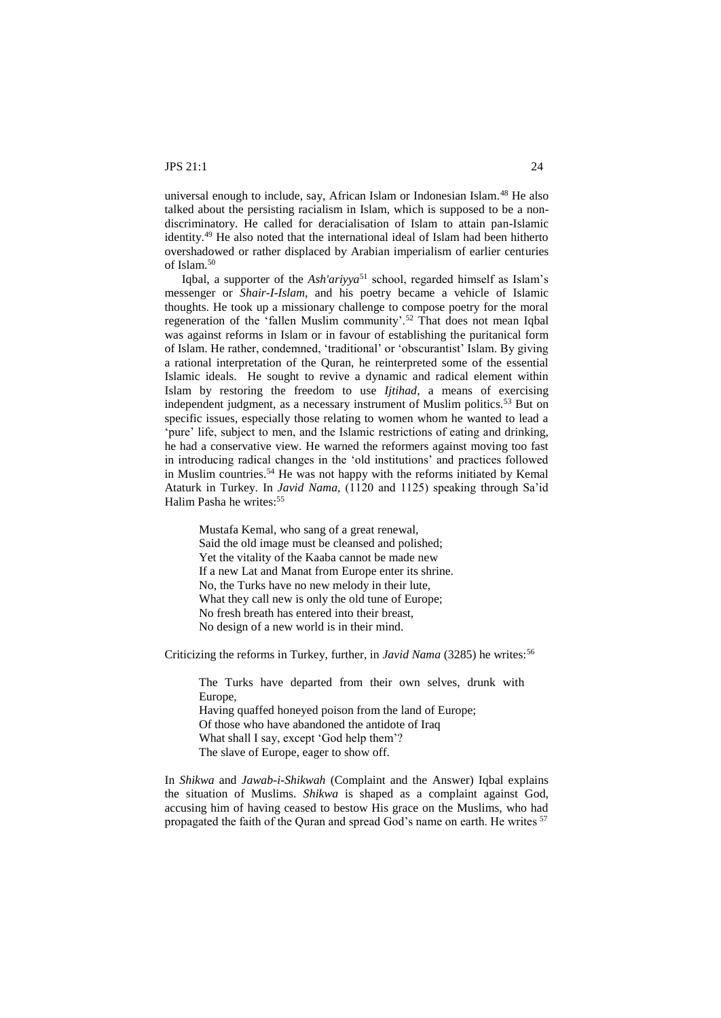universal enough to include, say, African Islam or Indonesian Islam.<sup>48</sup> He also talked about the persisting racialism in Islam, which is supposed to be a nondiscriminatory. He called for deracialisation of Islam to attain pan-Islamic identity.<sup>49</sup> He also noted that the international ideal of Islam had been hitherto overshadowed or rather displaced by Arabian imperialism of earlier centuries of Islam.<sup>50</sup>

Iqbal, a supporter of the *Ash'ariyya*<sup>51</sup> school, regarded himself as Islam's messenger or *Shair-I-Islam*, and his poetry became a vehicle of Islamic thoughts. He took up a missionary challenge to compose poetry for the moral regeneration of the 'fallen Muslim community'.<sup>52</sup> That does not mean Iqbal was against reforms in Islam or in favour of establishing the puritanical form of Islam. He rather, condemned, 'traditional' or 'obscurantist' Islam. By giving a rational interpretation of the Quran, he reinterpreted some of the essential Islamic ideals. He sought to revive a dynamic and radical element within Islam by restoring the freedom to use *Ijtihad*, a means of exercising independent judgment, as a necessary instrument of Muslim politics.<sup>53</sup> But on specific issues, especially those relating to women whom he wanted to lead a 'pure' life, subject to men, and the Islamic restrictions of eating and drinking, he had a conservative view. He warned the reformers against moving too fast in introducing radical changes in the 'old institutions' and practices followed in Muslim countries.<sup>54</sup> He was not happy with the reforms initiated by Kemal Ataturk in Turkey. In *Javid Nama,* (1120 and 1125) speaking through Sa'id Halim Pasha he writes:<sup>55</sup>

Mustafa Kemal, who sang of a great renewal, Said the old image must be cleansed and polished; Yet the vitality of the Kaaba cannot be made new If a new Lat and Manat from Europe enter its shrine. No, the Turks have no new melody in their lute, What they call new is only the old tune of Europe; No fresh breath has entered into their breast, No design of a new world is in their mind.

Criticizing the reforms in Turkey, further, in *Javid Nama* (3285) he writes:<sup>56</sup>

The Turks have departed from their own selves, drunk with Europe, Having quaffed honeyed poison from the land of Europe; Of those who have abandoned the antidote of Iraq What shall I say, except 'God help them'? The slave of Europe, eager to show off.

In *Shikwa* and *Jawab-i-Shikwah* (Complaint and the Answer) Iqbal explains the situation of Muslims. *Shikwa* is shaped as a complaint against God, accusing him of having ceased to bestow His grace on the Muslims, who had propagated the faith of the Quran and spread God's name on earth. He writes <sup>57</sup>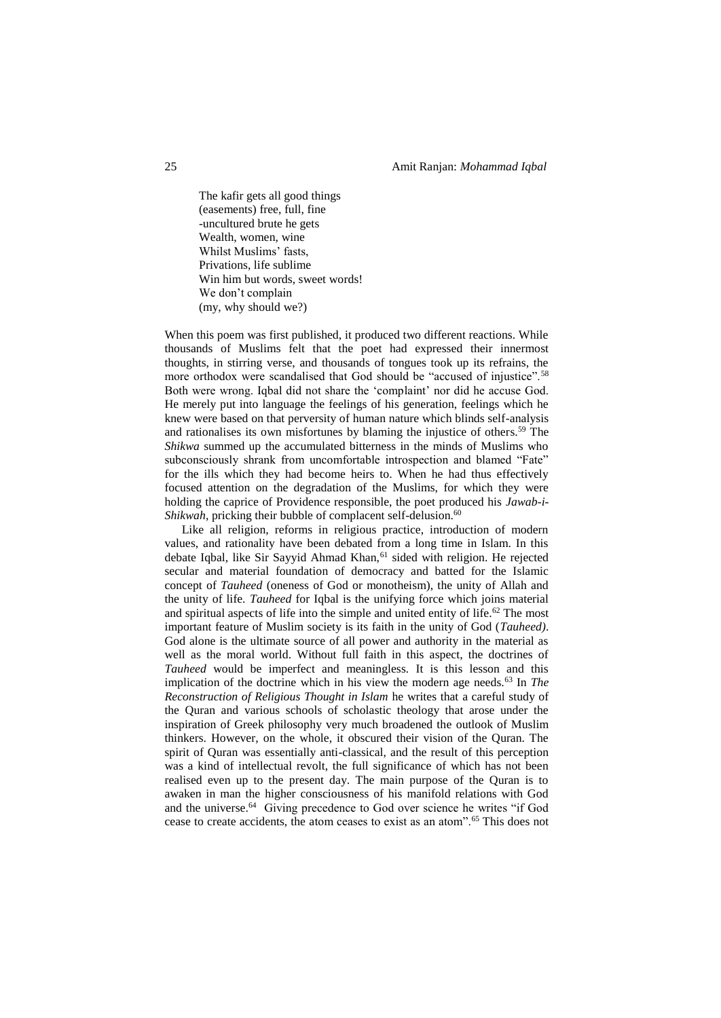The kafir gets all good things (easements) free, full, fine -uncultured brute he gets Wealth, women, wine Whilst Muslims' fasts, Privations, life sublime Win him but words, sweet words! We don't complain (my, why should we?)

When this poem was first published, it produced two different reactions. While thousands of Muslims felt that the poet had expressed their innermost thoughts, in stirring verse, and thousands of tongues took up its refrains, the more orthodox were scandalised that God should be "accused of injustice".<sup>58</sup> Both were wrong. Iqbal did not share the 'complaint' nor did he accuse God. He merely put into language the feelings of his generation, feelings which he knew were based on that perversity of human nature which blinds self-analysis and rationalises its own misfortunes by blaming the injustice of others.<sup>59</sup> The *Shikwa* summed up the accumulated bitterness in the minds of Muslims who subconsciously shrank from uncomfortable introspection and blamed "Fate" for the ills which they had become heirs to. When he had thus effectively focused attention on the degradation of the Muslims, for which they were holding the caprice of Providence responsible, the poet produced his *Jawab-i-Shikwah*, pricking their bubble of complacent self-delusion.<sup>60</sup>

Like all religion, reforms in religious practice, introduction of modern values, and rationality have been debated from a long time in Islam. In this debate Iqbal, like Sir Sayyid Ahmad Khan,<sup>61</sup> sided with religion. He rejected secular and material foundation of democracy and batted for the Islamic concept of *Tauheed* (oneness of God or monotheism), the unity of Allah and the unity of life. *Tauheed* for Iqbal is the unifying force which joins material and spiritual aspects of life into the simple and united entity of life.<sup>62</sup> The most important feature of Muslim society is its faith in the unity of God (*Tauheed)*. God alone is the ultimate source of all power and authority in the material as well as the moral world. Without full faith in this aspect, the doctrines of *Tauheed* would be imperfect and meaningless. It is this lesson and this implication of the doctrine which in his view the modern age needs.<sup>63</sup> In *The Reconstruction of Religious Thought in Islam* he writes that a careful study of the Quran and various schools of scholastic theology that arose under the inspiration of Greek philosophy very much broadened the outlook of Muslim thinkers. However, on the whole, it obscured their vision of the Quran. The spirit of Quran was essentially anti-classical, and the result of this perception was a kind of intellectual revolt, the full significance of which has not been realised even up to the present day. The main purpose of the Quran is to awaken in man the higher consciousness of his manifold relations with God and the universe.<sup>64</sup> Giving precedence to God over science he writes "if God cease to create accidents, the atom ceases to exist as an atom".<sup>65</sup> This does not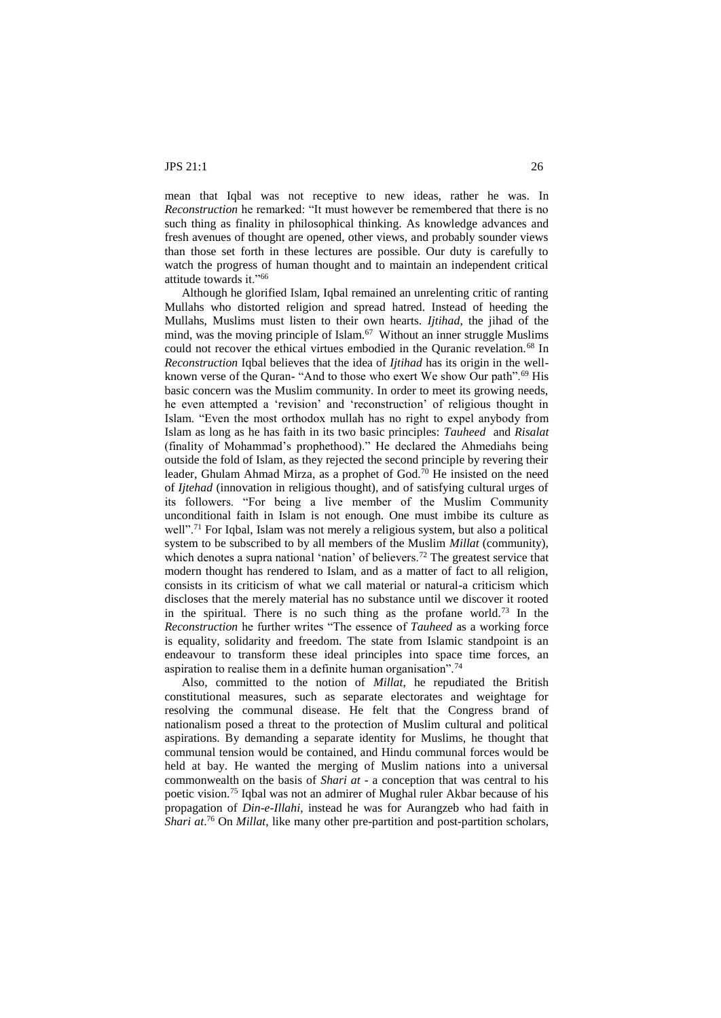mean that Iqbal was not receptive to new ideas, rather he was. In *Reconstruction* he remarked: "It must however be remembered that there is no such thing as finality in philosophical thinking. As knowledge advances and fresh avenues of thought are opened, other views, and probably sounder views than those set forth in these lectures are possible. Our duty is carefully to watch the progress of human thought and to maintain an independent critical attitude towards it."<sup>66</sup>

Although he glorified Islam, Iqbal remained an unrelenting critic of ranting Mullahs who distorted religion and spread hatred. Instead of heeding the Mullahs, Muslims must listen to their own hearts. *Ijtihad*, the jihad of the mind, was the moving principle of Islam.<sup>67</sup> Without an inner struggle Muslims could not recover the ethical virtues embodied in the Quranic revelation.<sup>68</sup> In *Reconstruction* Iqbal believes that the idea of *Ijtihad* has its origin in the wellknown verse of the Quran- "And to those who exert We show Our path".<sup>69</sup> His basic concern was the Muslim community. In order to meet its growing needs, he even attempted a 'revision' and 'reconstruction' of religious thought in Islam. "Even the most orthodox mullah has no right to expel anybody from Islam as long as he has faith in its two basic principles: *Tauheed* and *Risalat*  (finality of Mohammad's prophethood)." He declared the Ahmediahs being outside the fold of Islam, as they rejected the second principle by revering their leader, Ghulam Ahmad Mirza, as a prophet of God.<sup>70</sup> He insisted on the need of *Ijtehad* (innovation in religious thought), and of satisfying cultural urges of its followers. "For being a live member of the Muslim Community unconditional faith in Islam is not enough. One must imbibe its culture as well".<sup>71</sup> For Iqbal, Islam was not merely a religious system, but also a political system to be subscribed to by all members of the Muslim *Millat* (community), which denotes a supra national 'nation' of believers.<sup>72</sup> The greatest service that modern thought has rendered to Islam, and as a matter of fact to all religion, consists in its criticism of what we call material or natural-a criticism which discloses that the merely material has no substance until we discover it rooted in the spiritual. There is no such thing as the profane world.<sup>73</sup> In the *Reconstruction* he further writes "The essence of *Tauheed* as a working force is equality, solidarity and freedom. The state from Islamic standpoint is an endeavour to transform these ideal principles into space time forces, an aspiration to realise them in a definite human organisation".<sup>74</sup>

Also, committed to the notion of *Millat*, he repudiated the British constitutional measures, such as separate electorates and weightage for resolving the communal disease. He felt that the Congress brand of nationalism posed a threat to the protection of Muslim cultural and political aspirations. By demanding a separate identity for Muslims, he thought that communal tension would be contained, and Hindu communal forces would be held at bay. He wanted the merging of Muslim nations into a universal commonwealth on the basis of *Shari at* - a conception that was central to his poetic vision.<sup>75</sup> Iqbal was not an admirer of Mughal ruler Akbar because of his propagation of *Din-e-Illahi*, instead he was for Aurangzeb who had faith in *Shari at*. <sup>76</sup> On *Millat*, like many other pre-partition and post-partition scholars,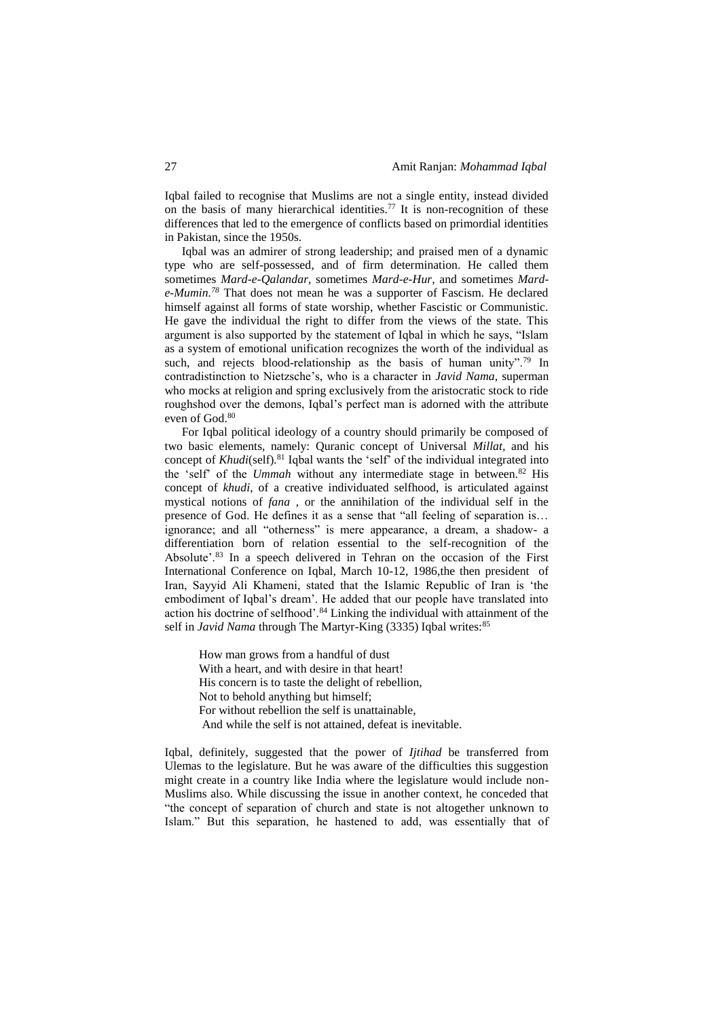Iqbal failed to recognise that Muslims are not a single entity, instead divided on the basis of many hierarchical identities.<sup>77</sup> It is non-recognition of these differences that led to the emergence of conflicts based on primordial identities in Pakistan, since the 1950s.

Iqbal was an admirer of strong leadership; and praised men of a dynamic type who are self-possessed, and of firm determination. He called them sometimes *Mard-e-Qalandar,* sometimes *Mard-e-Hur,* and sometimes *Marde-Mumin.<sup>78</sup>* That does not mean he was a supporter of Fascism. He declared himself against all forms of state worship, whether Fascistic or Communistic. He gave the individual the right to differ from the views of the state. This argument is also supported by the statement of Iqbal in which he says, "Islam as a system of emotional unification recognizes the worth of the individual as such, and rejects blood-relationship as the basis of human unity".<sup>79</sup> In contradistinction to Nietzsche's, who is a character in *Javid Nama*, superman who mocks at religion and spring exclusively from the aristocratic stock to ride roughshod over the demons, Iqbal's perfect man is adorned with the attribute even of God.<sup>80</sup>

For Iqbal political ideology of a country should primarily be composed of two basic elements, namely: Quranic concept of Universal *Millat,* and his concept of *Khudi*(self)*.* <sup>81</sup> Iqbal wants the 'self' of the individual integrated into the 'self' of the *Ummah* without any intermediate stage in between.<sup>82</sup> His concept of *khudi*, of a creative individuated selfhood, is articulated against mystical notions of *fana* , or the annihilation of the individual self in the presence of God. He defines it as a sense that "all feeling of separation is… ignorance; and all "otherness" is mere appearance, a dream, a shadow- a differentiation born of relation essential to the self-recognition of the Absolute'.<sup>83</sup> In a speech delivered in Tehran on the occasion of the First International Conference on Iqbal, March 10-12, 1986,the then president of Iran, Sayyid Ali Khameni, stated that the Islamic Republic of Iran is 'the embodiment of Iqbal's dream'. He added that our people have translated into action his doctrine of selfhood'.<sup>84</sup> Linking the individual with attainment of the self in *Javid Nama* through The Martyr-King (3335) Iqbal writes:<sup>85</sup>

How man grows from a handful of dust With a heart, and with desire in that heart! His concern is to taste the delight of rebellion, Not to behold anything but himself; For without rebellion the self is unattainable, And while the self is not attained, defeat is inevitable.

Iqbal, definitely, suggested that the power of *Ijtihad* be transferred from Ulemas to the legislature. But he was aware of the difficulties this suggestion might create in a country like India where the legislature would include non-Muslims also. While discussing the issue in another context, he conceded that "the concept of separation of church and state is not altogether unknown to Islam." But this separation, he hastened to add, was essentially that of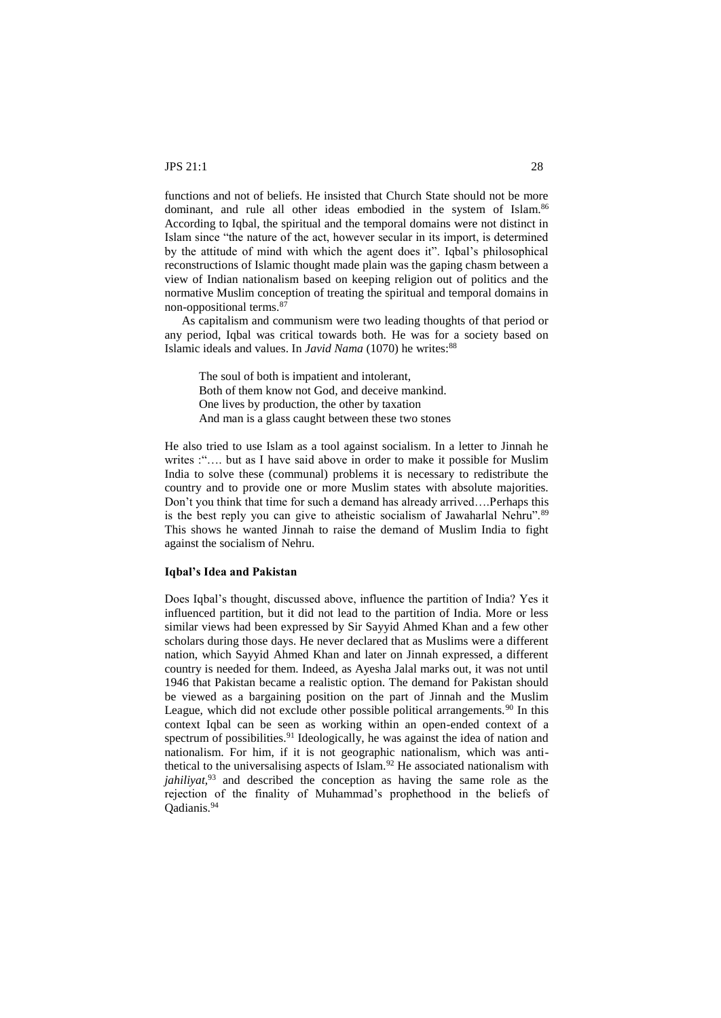functions and not of beliefs. He insisted that Church State should not be more dominant, and rule all other ideas embodied in the system of Islam.<sup>86</sup> According to Iqbal, the spiritual and the temporal domains were not distinct in Islam since "the nature of the act, however secular in its import, is determined by the attitude of mind with which the agent does it". Iqbal's philosophical reconstructions of Islamic thought made plain was the gaping chasm between a view of Indian nationalism based on keeping religion out of politics and the normative Muslim conception of treating the spiritual and temporal domains in non-oppositional terms.<sup>8</sup>

As capitalism and communism were two leading thoughts of that period or any period, Iqbal was critical towards both. He was for a society based on Islamic ideals and values. In *Javid Nama* (1070) he writes:<sup>88</sup>

The soul of both is impatient and intolerant, Both of them know not God, and deceive mankind. One lives by production, the other by taxation And man is a glass caught between these two stones

He also tried to use Islam as a tool against socialism. In a letter to Jinnah he writes : ".... but as I have said above in order to make it possible for Muslim India to solve these (communal) problems it is necessary to redistribute the country and to provide one or more Muslim states with absolute majorities. Don't you think that time for such a demand has already arrived….Perhaps this is the best reply you can give to atheistic socialism of Jawaharlal Nehru".<sup>89</sup> This shows he wanted Jinnah to raise the demand of Muslim India to fight against the socialism of Nehru.

## **Iqbal's Idea and Pakistan**

Does Iqbal's thought, discussed above, influence the partition of India? Yes it influenced partition, but it did not lead to the partition of India. More or less similar views had been expressed by Sir Sayyid Ahmed Khan and a few other scholars during those days. He never declared that as Muslims were a different nation, which Sayyid Ahmed Khan and later on Jinnah expressed, a different country is needed for them. Indeed, as Ayesha Jalal marks out, it was not until 1946 that Pakistan became a realistic option. The demand for Pakistan should be viewed as a bargaining position on the part of Jinnah and the Muslim League, which did not exclude other possible political arrangements. $90$  In this context Iqbal can be seen as working within an open-ended context of a spectrum of possibilities.<sup>91</sup> Ideologically, he was against the idea of nation and nationalism. For him, if it is not geographic nationalism, which was antithetical to the universalising aspects of Islam.<sup>92</sup> He associated nationalism with *jahiliyat,*<sup>93</sup> and described the conception as having the same role as the rejection of the finality of Muhammad's prophethood in the beliefs of Qadianis.94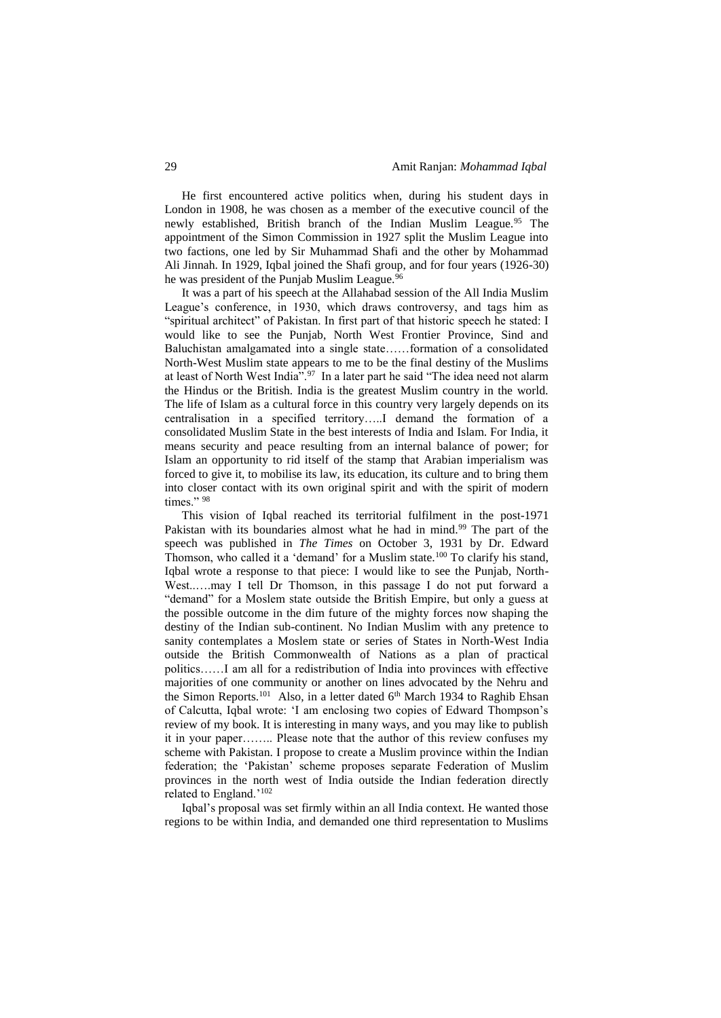He first encountered active politics when, during his student days in London in 1908, he was chosen as a member of the executive council of the newly established, British branch of the Indian Muslim League.<sup>95</sup> The appointment of the Simon Commission in 1927 split the Muslim League into two factions, one led by Sir Muhammad Shafi and the other by Mohammad Ali Jinnah. In 1929, Iqbal joined the Shafi group, and for four years (1926-30) he was president of the Punjab Muslim League.<sup>96</sup>

It was a part of his speech at the Allahabad session of the All India Muslim League's conference, in 1930, which draws controversy, and tags him as "spiritual architect" of Pakistan. In first part of that historic speech he stated: I would like to see the Punjab, North West Frontier Province, Sind and Baluchistan amalgamated into a single state……formation of a consolidated North-West Muslim state appears to me to be the final destiny of the Muslims at least of North West India".<sup>97</sup> In a later part he said "The idea need not alarm the Hindus or the British. India is the greatest Muslim country in the world. The life of Islam as a cultural force in this country very largely depends on its centralisation in a specified territory…..I demand the formation of a consolidated Muslim State in the best interests of India and Islam. For India, it means security and peace resulting from an internal balance of power; for Islam an opportunity to rid itself of the stamp that Arabian imperialism was forced to give it, to mobilise its law, its education, its culture and to bring them into closer contact with its own original spirit and with the spirit of modern times." 98

This vision of Iqbal reached its territorial fulfilment in the post-1971 Pakistan with its boundaries almost what he had in mind.<sup>99</sup> The part of the speech was published in *The Times* on October 3, 1931 by Dr. Edward Thomson, who called it a 'demand' for a Muslim state.<sup>100</sup> To clarify his stand, Iqbal wrote a response to that piece: I would like to see the Punjab, North-West......may I tell Dr Thomson, in this passage I do not put forward a "demand" for a Moslem state outside the British Empire, but only a guess at the possible outcome in the dim future of the mighty forces now shaping the destiny of the Indian sub-continent. No Indian Muslim with any pretence to sanity contemplates a Moslem state or series of States in North-West India outside the British Commonwealth of Nations as a plan of practical politics……I am all for a redistribution of India into provinces with effective majorities of one community or another on lines advocated by the Nehru and the Simon Reports.<sup>101</sup> Also, in a letter dated  $6<sup>th</sup>$  March 1934 to Raghib Ehsan of Calcutta, Iqbal wrote: 'I am enclosing two copies of Edward Thompson's review of my book. It is interesting in many ways, and you may like to publish it in your paper…….. Please note that the author of this review confuses my scheme with Pakistan. I propose to create a Muslim province within the Indian federation; the 'Pakistan' scheme proposes separate Federation of Muslim provinces in the north west of India outside the Indian federation directly related to England.'<sup>102</sup>

Iqbal's proposal was set firmly within an all India context. He wanted those regions to be within India, and demanded one third representation to Muslims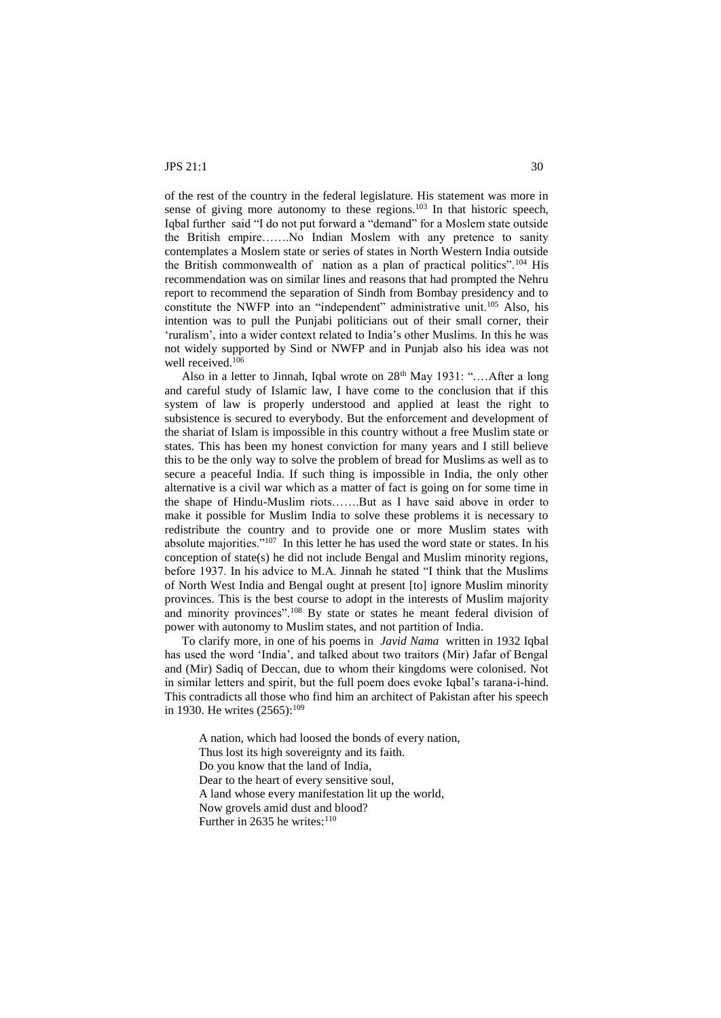of the rest of the country in the federal legislature. His statement was more in sense of giving more autonomy to these regions.<sup>103</sup> In that historic speech, Iqbal further said "I do not put forward a "demand" for a Moslem state outside the British empire…….No Indian Moslem with any pretence to sanity contemplates a Moslem state or series of states in North Western India outside the British commonwealth of nation as a plan of practical politics".<sup>104</sup> His recommendation was on similar lines and reasons that had prompted the Nehru report to recommend the separation of Sindh from Bombay presidency and to constitute the NWFP into an "independent" administrative unit.<sup>105</sup> Also, his intention was to pull the Punjabi politicians out of their small corner, their 'ruralism', into a wider context related to India's other Muslims. In this he was not widely supported by Sind or NWFP and in Punjab also his idea was not well received.<sup>106</sup>

Also in a letter to Jinnah, Iqbal wrote on  $28<sup>th</sup>$  May 1931: "....After a long and careful study of Islamic law, I have come to the conclusion that if this system of law is properly understood and applied at least the right to subsistence is secured to everybody. But the enforcement and development of the shariat of Islam is impossible in this country without a free Muslim state or states. This has been my honest conviction for many years and I still believe this to be the only way to solve the problem of bread for Muslims as well as to secure a peaceful India. If such thing is impossible in India, the only other alternative is a civil war which as a matter of fact is going on for some time in the shape of Hindu-Muslim riots…….But as I have said above in order to make it possible for Muslim India to solve these problems it is necessary to redistribute the country and to provide one or more Muslim states with absolute majorities."<sup>107</sup> In this letter he has used the word state or states. In his conception of state(s) he did not include Bengal and Muslim minority regions, before 1937. In his advice to M.A. Jinnah he stated "I think that the Muslims of North West India and Bengal ought at present [to] ignore Muslim minority provinces. This is the best course to adopt in the interests of Muslim majority and minority provinces".<sup>108</sup> By state or states he meant federal division of power with autonomy to Muslim states, and not partition of India.

To clarify more, in one of his poems in *Javid Nama* written in 1932 Iqbal has used the word 'India', and talked about two traitors (Mir) Jafar of Bengal and (Mir) Sadiq of Deccan, due to whom their kingdoms were colonised. Not in similar letters and spirit, but the full poem does evoke Iqbal's tarana-i-hind. This contradicts all those who find him an architect of Pakistan after his speech in 1930. He writes  $(2565)$ :<sup>109</sup>

A nation, which had loosed the bonds of every nation, Thus lost its high sovereignty and its faith. Do you know that the land of India, Dear to the heart of every sensitive soul, A land whose every manifestation lit up the world, Now grovels amid dust and blood? Further in 2635 he writes: $110$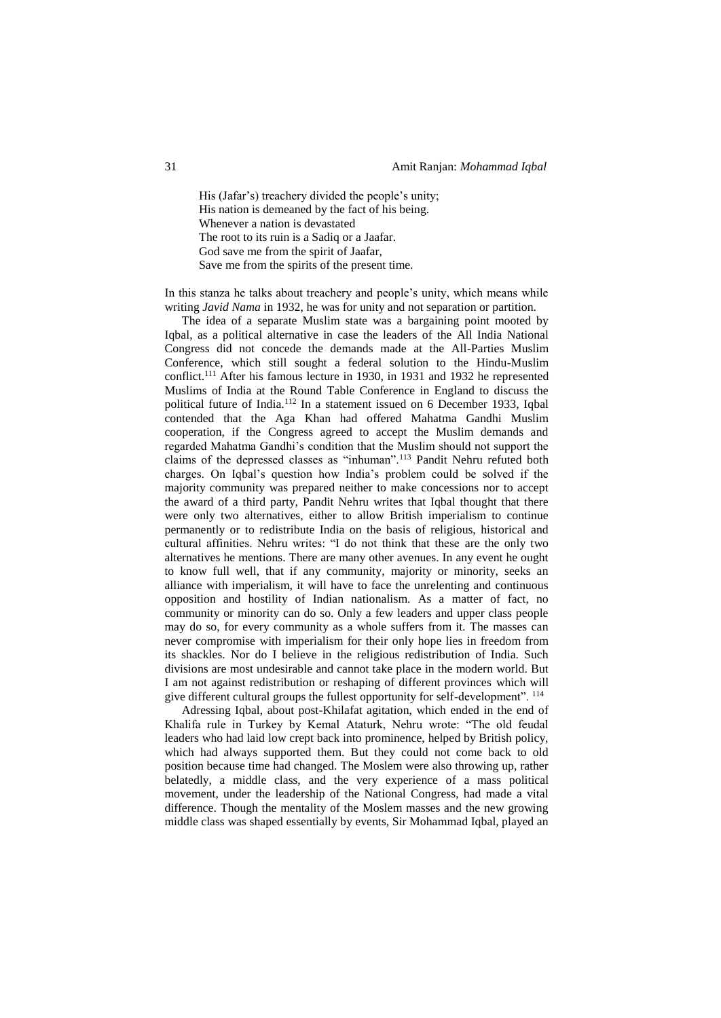His (Jafar's) treachery divided the people's unity; His nation is demeaned by the fact of his being. Whenever a nation is devastated The root to its ruin is a Sadiq or a Jaafar. God save me from the spirit of Jaafar, Save me from the spirits of the present time.

In this stanza he talks about treachery and people's unity, which means while writing *Javid Nama* in 1932, he was for unity and not separation or partition.

The idea of a separate Muslim state was a bargaining point mooted by Iqbal, as a political alternative in case the leaders of the All India National Congress did not concede the demands made at the All-Parties Muslim Conference, which still sought a federal solution to the Hindu-Muslim conflict.<sup>111</sup> After his famous lecture in 1930, in 1931 and 1932 he represented Muslims of India at the Round Table Conference in England to discuss the political future of India.<sup>112</sup> In a statement issued on 6 December 1933, Iqbal contended that the Aga Khan had offered Mahatma Gandhi Muslim cooperation, if the Congress agreed to accept the Muslim demands and regarded Mahatma Gandhi's condition that the Muslim should not support the claims of the depressed classes as "inhuman".<sup>113</sup> Pandit Nehru refuted both charges. On Iqbal's question how India's problem could be solved if the majority community was prepared neither to make concessions nor to accept the award of a third party, Pandit Nehru writes that Iqbal thought that there were only two alternatives, either to allow British imperialism to continue permanently or to redistribute India on the basis of religious, historical and cultural affinities. Nehru writes: "I do not think that these are the only two alternatives he mentions. There are many other avenues. In any event he ought to know full well, that if any community, majority or minority, seeks an alliance with imperialism, it will have to face the unrelenting and continuous opposition and hostility of Indian nationalism. As a matter of fact, no community or minority can do so. Only a few leaders and upper class people may do so, for every community as a whole suffers from it. The masses can never compromise with imperialism for their only hope lies in freedom from its shackles. Nor do I believe in the religious redistribution of India. Such divisions are most undesirable and cannot take place in the modern world. But I am not against redistribution or reshaping of different provinces which will give different cultural groups the fullest opportunity for self-development". <sup>114</sup>

Adressing Iqbal, about post-Khilafat agitation, which ended in the end of Khalifa rule in Turkey by Kemal Ataturk, Nehru wrote: "The old feudal leaders who had laid low crept back into prominence, helped by British policy, which had always supported them. But they could not come back to old position because time had changed. The Moslem were also throwing up, rather belatedly, a middle class, and the very experience of a mass political movement, under the leadership of the National Congress, had made a vital difference. Though the mentality of the Moslem masses and the new growing middle class was shaped essentially by events, Sir Mohammad Iqbal, played an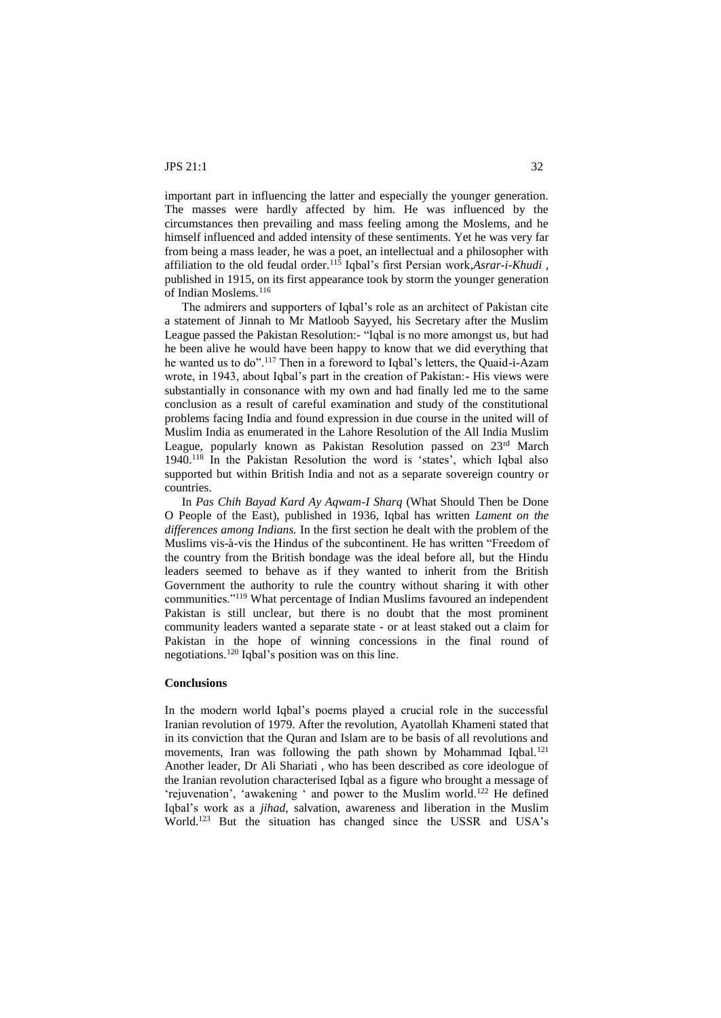important part in influencing the latter and especially the younger generation. The masses were hardly affected by him. He was influenced by the circumstances then prevailing and mass feeling among the Moslems, and he himself influenced and added intensity of these sentiments. Yet he was very far from being a mass leader, he was a poet, an intellectual and a philosopher with affiliation to the old feudal order.<sup>115</sup> Iqbal's first Persian work,*Asrar-i-Khudi* , published in 1915, on its first appearance took by storm the younger generation of Indian Moslems.<sup>116</sup>

The admirers and supporters of Iqbal's role as an architect of Pakistan cite a statement of Jinnah to Mr Matloob Sayyed, his Secretary after the Muslim League passed the Pakistan Resolution:- "Iqbal is no more amongst us, but had he been alive he would have been happy to know that we did everything that he wanted us to do".<sup>117</sup> Then in a foreword to Iqbal's letters, the Quaid-i-Azam wrote, in 1943, about Iqbal's part in the creation of Pakistan:- His views were substantially in consonance with my own and had finally led me to the same conclusion as a result of careful examination and study of the constitutional problems facing India and found expression in due course in the united will of Muslim India as enumerated in the Lahore Resolution of the All India Muslim League, popularly known as Pakistan Resolution passed on 23rd March 1940.<sup>118</sup> In the Pakistan Resolution the word is 'states', which Iqbal also supported but within British India and not as a separate sovereign country or countries.

In *Pas Chih Bayad Kard Ay Aqwam-I Sharq* (What Should Then be Done O People of the East), published in 1936, Iqbal has written *Lament on the differences among Indians.* In the first section he dealt with the problem of the Muslims vis-à-vis the Hindus of the subcontinent. He has written "Freedom of the country from the British bondage was the ideal before all, but the Hindu leaders seemed to behave as if they wanted to inherit from the British Government the authority to rule the country without sharing it with other communities."<sup>119</sup> What percentage of Indian Muslims favoured an independent Pakistan is still unclear, but there is no doubt that the most prominent community leaders wanted a separate state - or at least staked out a claim for Pakistan in the hope of winning concessions in the final round of negotiations.<sup>120</sup> Iqbal's position was on this line.

## **Conclusions**

In the modern world Iqbal's poems played a crucial role in the successful Iranian revolution of 1979. After the revolution, Ayatollah Khameni stated that in its conviction that the Quran and Islam are to be basis of all revolutions and movements, Iran was following the path shown by Mohammad Iqbal.<sup>121</sup> Another leader, Dr Ali Shariati , who has been described as core ideologue of the Iranian revolution characterised Iqbal as a figure who brought a message of 'rejuvenation', 'awakening ' and power to the Muslim world.<sup>122</sup> He defined Iqbal's work as a *jihad,* salvation, awareness and liberation in the Muslim World.<sup>123</sup> But the situation has changed since the USSR and USA's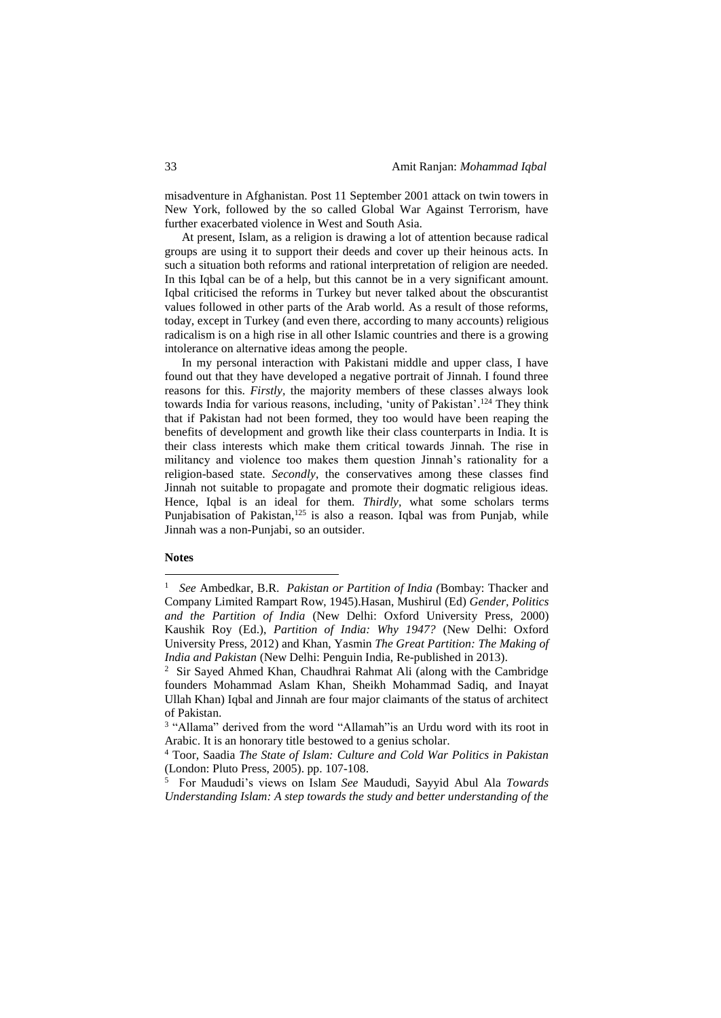misadventure in Afghanistan. Post 11 September 2001 attack on twin towers in New York, followed by the so called Global War Against Terrorism, have further exacerbated violence in West and South Asia.

At present, Islam, as a religion is drawing a lot of attention because radical groups are using it to support their deeds and cover up their heinous acts. In such a situation both reforms and rational interpretation of religion are needed. In this Iqbal can be of a help, but this cannot be in a very significant amount. Iqbal criticised the reforms in Turkey but never talked about the obscurantist values followed in other parts of the Arab world. As a result of those reforms, today, except in Turkey (and even there, according to many accounts) religious radicalism is on a high rise in all other Islamic countries and there is a growing intolerance on alternative ideas among the people.

In my personal interaction with Pakistani middle and upper class, I have found out that they have developed a negative portrait of Jinnah. I found three reasons for this. *Firstly,* the majority members of these classes always look towards India for various reasons, including, 'unity of Pakistan'. <sup>124</sup> They think that if Pakistan had not been formed, they too would have been reaping the benefits of development and growth like their class counterparts in India. It is their class interests which make them critical towards Jinnah. The rise in militancy and violence too makes them question Jinnah's rationality for a religion-based state. *Secondly*, the conservatives among these classes find Jinnah not suitable to propagate and promote their dogmatic religious ideas. Hence, Iqbal is an ideal for them. *Thirdly,* what some scholars terms Punjabisation of Pakistan,<sup>125</sup> is also a reason. Iqbal was from Punjab, while Jinnah was a non-Punjabi, so an outsider.

#### **Notes**

1

<sup>1</sup> *See* Ambedkar, B.R. *Pakistan or Partition of India (*Bombay: Thacker and Company Limited Rampart Row, 1945).Hasan, Mushirul (Ed) *Gender, Politics and the Partition of India* (New Delhi: Oxford University Press, 2000) Kaushik Roy (Ed.), *Partition of India: Why 1947?* (New Delhi: Oxford University Press, 2012) and Khan, Yasmin *The Great Partition: The Making of India and Pakistan* (New Delhi: Penguin India, Re-published in 2013).

<sup>&</sup>lt;sup>2</sup> Sir Sayed Ahmed Khan, Chaudhrai Rahmat Ali (along with the Cambridge founders Mohammad Aslam Khan, Sheikh Mohammad Sadiq, and Inayat Ullah Khan) Iqbal and Jinnah are four major claimants of the status of architect of Pakistan.

<sup>&</sup>lt;sup>3</sup> "Allama" derived from the word "Allamah" is an Urdu word with its root in Arabic. It is an honorary title bestowed to a genius scholar.

<sup>4</sup> Toor, Saadia *The State of Islam: Culture and Cold War Politics in Pakistan*  (London: Pluto Press, 2005). pp. 107-108.

<sup>5</sup> For Maududi's views on Islam *See* Maududi, Sayyid Abul Ala *Towards Understanding Islam: A step towards the study and better understanding of the*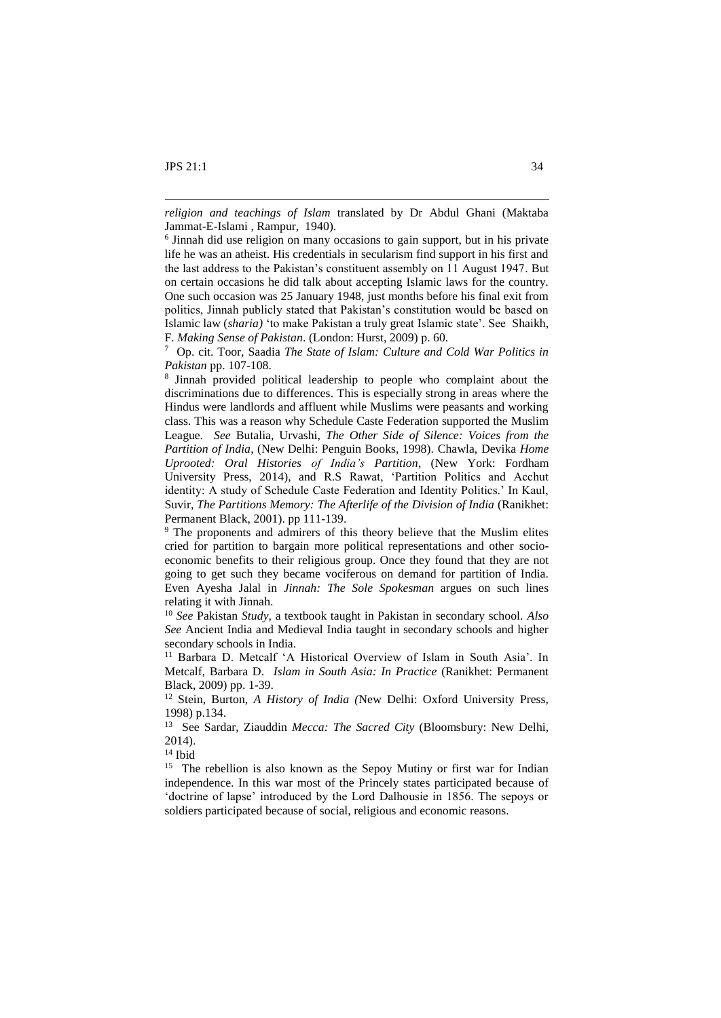1

<sup>14</sup> Ibid

<sup>15</sup> The rebellion is also known as the Sepoy Mutiny or first war for Indian independence. In this war most of the Princely states participated because of 'doctrine of lapse' introduced by the Lord Dalhousie in 1856. The sepoys or soldiers participated because of social, religious and economic reasons.

*religion and teachings of Islam* translated by Dr Abdul Ghani (Maktaba Jammat-E-Islami , Rampur, 1940).

<sup>&</sup>lt;sup>6</sup> Jinnah did use religion on many occasions to gain support, but in his private life he was an atheist. His credentials in secularism find support in his first and the last address to the Pakistan's constituent assembly on 11 August 1947. But on certain occasions he did talk about accepting Islamic laws for the country. One such occasion was 25 January 1948, just months before his final exit from politics, Jinnah publicly stated that Pakistan's constitution would be based on Islamic law (*sharia)* 'to make Pakistan a truly great Islamic state'. See Shaikh, F. *Making Sense of Pakistan*. (London: Hurst, 2009) p. 60.

<sup>7</sup> Op. cit. Toor, Saadia *The State of Islam: Culture and Cold War Politics in Pakistan* pp. 107-108.

<sup>8</sup> Jinnah provided political leadership to people who complaint about the discriminations due to differences. This is especially strong in areas where the Hindus were landlords and affluent while Muslims were peasants and working class. This was a reason why Schedule Caste Federation supported the Muslim League. *See* Butalia, Urvashi, *The Other Side of Silence: Voices from the Partition of India*, (New Delhi: Penguin Books, 1998). Chawla, Devika *Home Uprooted: Oral Histories of India's Partition*, (New York: Fordham University Press, 2014), and R.S Rawat, 'Partition Politics and Acchut identity: A study of Schedule Caste Federation and Identity Politics.' In Kaul, Suvir, *The Partitions Memory: The Afterlife of the Division of India* (Ranikhet: Permanent Black, 2001). pp 111-139.

<sup>&</sup>lt;sup>9</sup> The proponents and admirers of this theory believe that the Muslim elites cried for partition to bargain more political representations and other socioeconomic benefits to their religious group. Once they found that they are not going to get such they became vociferous on demand for partition of India. Even Ayesha Jalal in *Jinnah: The Sole Spokesman* argues on such lines relating it with Jinnah.

<sup>10</sup> *See* Pakistan *Study,* a textbook taught in Pakistan in secondary school. *Also See* Ancient India and Medieval India taught in secondary schools and higher secondary schools in India.

<sup>&</sup>lt;sup>11</sup> Barbara D. Metcalf 'A Historical Overview of Islam in South Asia'. In Metcalf, Barbara D. *Islam in South Asia: In Practice* (Ranikhet: Permanent Black, 2009) pp. 1-39.

<sup>&</sup>lt;sup>12</sup> Stein, Burton, *A History of India* (New Delhi: Oxford University Press, 1998) p.134.

<sup>13</sup> See Sardar, Ziauddin *Mecca: The Sacred City* (Bloomsbury: New Delhi, 2014).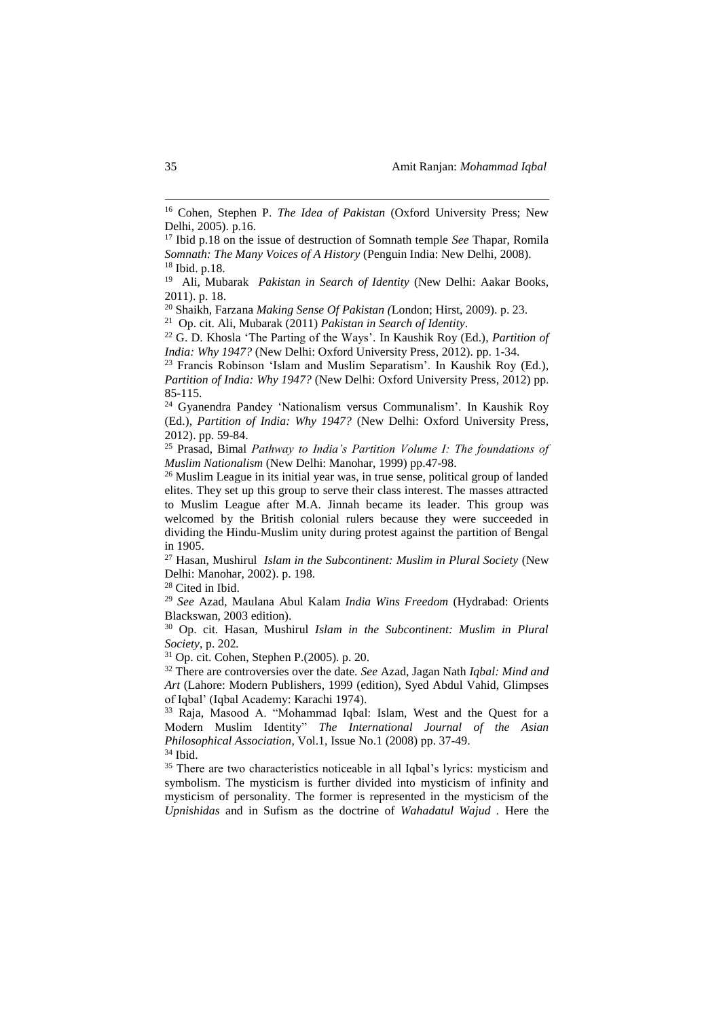<sup>28</sup> Cited in Ibid.

<sup>29</sup> *See* Azad, Maulana Abul Kalam *India Wins Freedom* (Hydrabad: Orients Blackswan, 2003 edition).

<sup>30</sup> Op. cit. Hasan, Mushirul *Islam in the Subcontinent: Muslim in Plural Society*, p. 202*.*

<sup>31</sup> Op. cit. Cohen, Stephen P.(2005)*.* p. 20.

<sup>32</sup> There are controversies over the date. *See* Azad, Jagan Nath *Iqbal: Mind and Art* (Lahore: Modern Publishers, 1999 (edition), Syed Abdul Vahid, Glimpses of Iqbal' (Iqbal Academy: Karachi 1974).

<sup>33</sup> Raja, Masood A. "Mohammad Iqbal: Islam, West and the Quest for a Modern Muslim Identity" *The International Journal of the Asian Philosophical Association*, Vol.1, Issue No.1 (2008) pp. 37-49. <sup>34</sup> Ibid.

<sup>35</sup> There are two characteristics noticeable in all Iqbal's lyrics: mysticism and symbolism. The mysticism is further divided into mysticism of infinity and mysticism of personality. The former is represented in the mysticism of the *Upnishidas* and in Sufism as the doctrine of *Wahadatul Wajud .* Here the

1

<sup>&</sup>lt;sup>16</sup> Cohen, Stephen P. *The Idea of Pakistan* (Oxford University Press; New Delhi, 2005). p.16.

<sup>17</sup> Ibid p.18 on the issue of destruction of Somnath temple *See* Thapar, Romila *Somnath: The Many Voices of A History* (Penguin India: New Delhi, 2008). <sup>18</sup> Ibid. p.18.

<sup>&</sup>lt;sup>19</sup> Ali, Mubarak *Pakistan in Search of Identity* (New Delhi: Aakar Books, 2011). p. 18.

<sup>20</sup> Shaikh, Farzana *Making Sense Of Pakistan (*London; Hirst, 2009). p. 23.

<sup>21</sup> Op. cit. Ali, Mubarak (2011) *Pakistan in Search of Identity*.

<sup>22</sup> G. D. Khosla 'The Parting of the Ways'. In Kaushik Roy (Ed.), *Partition of India: Why 1947?* (New Delhi: Oxford University Press, 2012). pp. 1-34.

<sup>23</sup> Francis Robinson 'Islam and Muslim Separatism'. In Kaushik Roy (Ed.), *Partition of India: Why 1947?* (New Delhi: Oxford University Press, 2012) pp. 85-115.

<sup>24</sup> Gyanendra Pandey 'Nationalism versus Communalism'. In Kaushik Roy (Ed.), *Partition of India: Why 1947?* (New Delhi: Oxford University Press, 2012). pp. 59-84.

<sup>25</sup> Prasad, Bimal *Pathway to India's Partition Volume I: The foundations of Muslim Nationalism* (New Delhi: Manohar, 1999) pp.47-98.

<sup>&</sup>lt;sup>26</sup> Muslim League in its initial year was, in true sense, political group of landed elites. They set up this group to serve their class interest. The masses attracted to Muslim League after M.A. Jinnah became its leader. This group was welcomed by the British colonial rulers because they were succeeded in dividing the Hindu-Muslim unity during protest against the partition of Bengal in 1905.

<sup>27</sup> Hasan, Mushirul *Islam in the Subcontinent: Muslim in Plural Society* (New Delhi: Manohar, 2002). p. 198.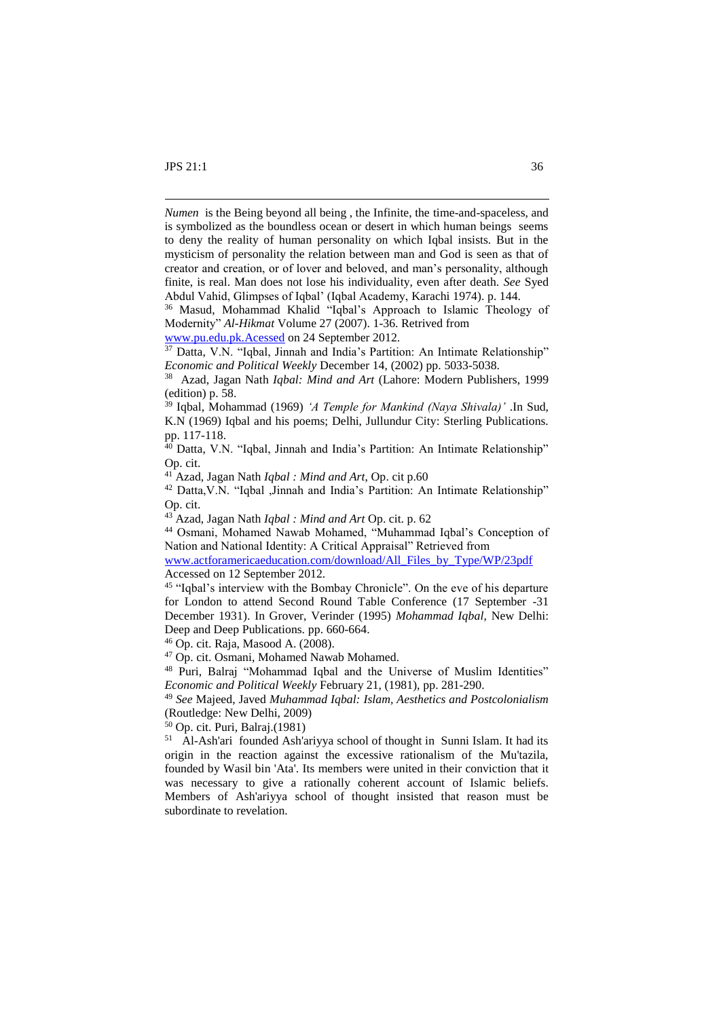1

*Numen* is the Being beyond all being , the Infinite, the time-and-spaceless, and is symbolized as the boundless ocean or desert in which human beings seems to deny the reality of human personality on which Iqbal insists. But in the mysticism of personality the relation between man and God is seen as that of creator and creation, or of lover and beloved, and man's personality, although finite, is real. Man does not lose his individuality, even after death. *See* Syed Abdul Vahid, Glimpses of Iqbal' (Iqbal Academy, Karachi 1974). p. 144.

<sup>36</sup> Masud, Mohammad Khalid "Iqbal's Approach to Islamic Theology of Modernity" *Al-Hikmat* Volume 27 (2007). 1-36. Retrived from

[www.pu.edu.pk.Acessed](http://www.pu.edu.pk.acessed/) on 24 September 2012.

 $37$  Datta, V.N. "Igbal, Jinnah and India's Partition: An Intimate Relationship" *Economic and Political Weekly* December 14, (2002) pp. 5033-5038.

<sup>39</sup> Iqbal, Mohammad (1969) *'A Temple for Mankind (Naya Shivala)'* .In Sud, K.N (1969) Iqbal and his poems; Delhi, Jullundur City: Sterling Publications. pp. 117-118.

<sup>40</sup> Datta, V.N. "Iqbal, Jinnah and India's Partition: An Intimate Relationship" Op. cit.

<sup>41</sup> Azad, Jagan Nath *Iqbal : Mind and Art*, Op. cit p.60

<sup>42</sup> Datta,V.N. "Iqbal ,Jinnah and India's Partition: An Intimate Relationship" Op. cit.

<sup>43</sup> Azad, Jagan Nath *Iqbal : Mind and Art* Op. cit. p. 62

<sup>44</sup> Osmani, Mohamed Nawab Mohamed, "Muhammad Iqbal's Conception of Nation and National Identity: A Critical Appraisal" Retrieved from

[www.actforamericaeducation.com/download/All\\_Files\\_by\\_Type/WP/23pdf](http://www.actforamericaeducation.com/download/All_Files_by_Type/WP/23pdf)  Accessed on 12 September 2012.

<sup>45</sup> "Iqbal's interview with the Bombay Chronicle". On the eve of his departure for London to attend Second Round Table Conference (17 September -31 December 1931). In Grover, Verinder (1995) *Mohammad Iqbal*, New Delhi: Deep and Deep Publications. pp. 660-664.

<sup>46</sup> Op. cit. Raja, Masood A. (2008).

<sup>47</sup> Op. cit. Osmani, Mohamed Nawab Mohamed.

<sup>48</sup> Puri, Balraj "Mohammad Iqbal and the Universe of Muslim Identities" *Economic and Political Weekly* February 21, (1981), pp. 281-290.

<sup>49</sup> *See* Majeed, Javed *Muhammad Iqbal: Islam, Aesthetics and Postcolonialism*  (Routledge: New Delhi, 2009)

<sup>50</sup> Op. cit. Puri, Balraj.(1981)

51 Al-Ash'ari founded Ash'ariyya school of thought in Sunni Islam. It had its origin in the reaction against the excessive rationalism of the Mu'tazila, founded by Wasil bin 'Ata'. Its members were united in their conviction that it was necessary to give a rationally coherent account of Islamic beliefs. Members of Ash'ariyya school of thought insisted that reason must be subordinate to revelation.

<sup>38</sup> Azad, Jagan Nath *Iqbal: Mind and Art* (Lahore: Modern Publishers, 1999 (edition) p. 58.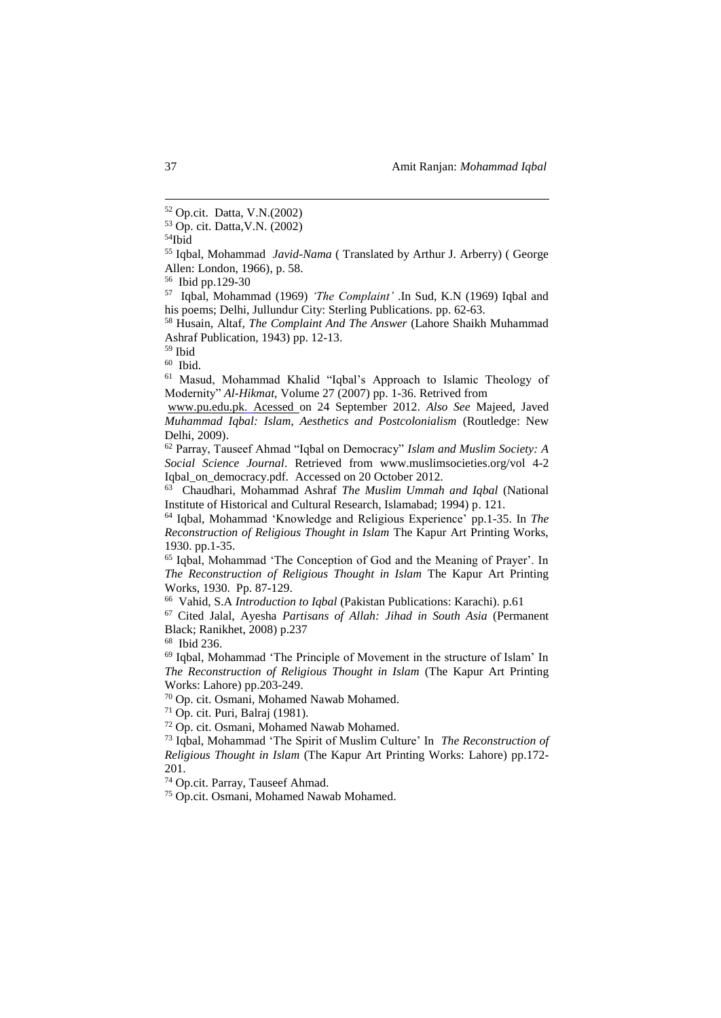<sup>54</sup>Ibid

<sup>55</sup> Iqbal, Mohammad *Javid-Nama* ( Translated by Arthur J. Arberry) ( George Allen: London, 1966), p. 58.

56 Ibid pp.129-30

57 Iqbal, Mohammad (1969) *'The Complaint'* .In Sud, K.N (1969) Iqbal and his poems; Delhi, Jullundur City: Sterling Publications. pp. 62-63.

<sup>58</sup> Husain, Altaf*, The Complaint And The Answer* (Lahore Shaikh Muhammad Ashraf Publication, 1943) pp. 12-13.

<sup>59</sup> Ibid

60 Ibid.

<sup>61</sup> Masud, Mohammad Khalid "Iqbal's Approach to Islamic Theology of Modernity" *Al-Hikmat,* Volume 27 (2007) pp. 1-36. Retrived from

www.pu.edu.pk. Acessed on 24 September 2012. *Also See* Majeed, Javed *Muhammad Iqbal: Islam, Aesthetics and Postcolonialism* (Routledge: New Delhi, 2009).

<sup>62</sup> Parray, Tauseef Ahmad "Iqbal on Democracy" *Islam and Muslim Society: A Social Science Journal*. Retrieved from www.muslimsocieties.org/vol 4-2 Iqbal\_on\_democracy.pdf. Accessed on 20 October 2012.

63 Chaudhari, Mohammad Ashraf *The Muslim Ummah and Iqbal* (National Institute of Historical and Cultural Research, Islamabad; 1994) p. 121.

<sup>64</sup> Iqbal, Mohammad 'Knowledge and Religious Experience' pp.1-35. In *The Reconstruction of Religious Thought in Islam* The Kapur Art Printing Works, 1930. pp.1-35.

<sup>65</sup> Iqbal, Mohammad 'The Conception of God and the Meaning of Prayer'. In *The Reconstruction of Religious Thought in Islam* The Kapur Art Printing Works, 1930. Pp. 87-129.

66 Vahid, S.A *Introduction to Iqbal* (Pakistan Publications: Karachi). p.61

<sup>67</sup> Cited Jalal, Ayesha *Partisans of Allah: Jihad in South Asia* (Permanent Black; Ranikhet, 2008) p.237

68 Ibid 236.

<sup>69</sup> Iqbal, Mohammad 'The Principle of Movement in the structure of Islam' In *The Reconstruction of Religious Thought in Islam* (The Kapur Art Printing Works: Lahore) pp.203-249.

<sup>70</sup> Op. cit. Osmani, Mohamed Nawab Mohamed.

 $71$  Op. cit. Puri, Balraj (1981).

<sup>72</sup> Op. cit. Osmani, Mohamed Nawab Mohamed.

<sup>73</sup> Iqbal, Mohammad 'The Spirit of Muslim Culture' In *The Reconstruction of Religious Thought in Islam* (The Kapur Art Printing Works: Lahore) pp.172- 201.

<sup>74</sup> Op.cit. Parray, Tauseef Ahmad.

<sup>75</sup> Op.cit. Osmani, Mohamed Nawab Mohamed.

1

<sup>52</sup> Op.cit. Datta, V.N.(2002)

<sup>53</sup> Op. cit. Datta,V.N. (2002)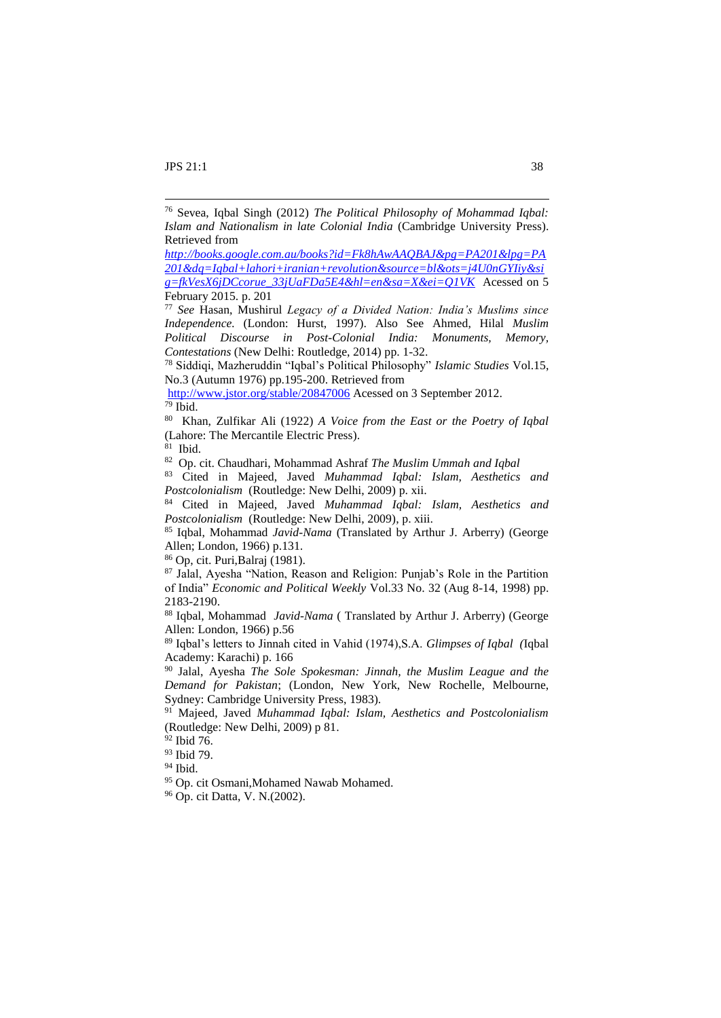1

*[http://books.google.com.au/books?id=Fk8hAwAAQBAJ&pg=PA201&lpg=PA](http://books.google.com.au/books?id=Fk8hAwAAQBAJ&pg=PA201&lpg=PA201&dq=Iqbal+lahori+iranian+revolution&source=bl&ots=j4U0nGYIiy&sig=fkVesX6jDCcorue_33jUaFDa5E4&hl=en&sa=X&ei=Q1VK) [201&dq=Iqbal+lahori+iranian+revolution&source=bl&ots=j4U0nGYIiy&si](http://books.google.com.au/books?id=Fk8hAwAAQBAJ&pg=PA201&lpg=PA201&dq=Iqbal+lahori+iranian+revolution&source=bl&ots=j4U0nGYIiy&sig=fkVesX6jDCcorue_33jUaFDa5E4&hl=en&sa=X&ei=Q1VK) [g=fkVesX6jDCcorue\\_33jUaFDa5E4&hl=en&sa=X&ei=Q1VK](http://books.google.com.au/books?id=Fk8hAwAAQBAJ&pg=PA201&lpg=PA201&dq=Iqbal+lahori+iranian+revolution&source=bl&ots=j4U0nGYIiy&sig=fkVesX6jDCcorue_33jUaFDa5E4&hl=en&sa=X&ei=Q1VK)* Acessed on 5 February 2015. p. 201

<sup>77</sup> *See* Hasan, Mushirul *Legacy of a Divided Nation: India's Muslims since Independence.* (London: Hurst, 1997). Also See Ahmed, Hilal *Muslim Political Discourse in Post-Colonial India: Monuments, Memory, Contestations* (New Delhi: Routledge, 2014) pp. 1-32.

<sup>78</sup> Siddiqi, Mazheruddin "Iqbal's Political Philosophy" *Islamic Studies* Vol.15, No.3 (Autumn 1976) pp.195-200. Retrieved from

80 Khan, Zulfikar Ali (1922) *A Voice from the East or the Poetry of Iqbal*  (Lahore: The Mercantile Electric Press).

81 Ibid.

82 Op. cit. Chaudhari, Mohammad Ashraf *The Muslim Ummah and Iqbal*

<sup>83</sup> Cited in Majeed, Javed *Muhammad Iqbal: Islam, Aesthetics and Postcolonialism* (Routledge: New Delhi, 2009) p. xii.

<sup>84</sup> Cited in Majeed, Javed *Muhammad Iqbal: Islam, Aesthetics and Postcolonialism* (Routledge: New Delhi, 2009), p. xiii.

<sup>85</sup> Iqbal, Mohammad *Javid-Nama* (Translated by Arthur J. Arberry) (George Allen; London, 1966) p.131.

<sup>86</sup> Op, cit. Puri,Balraj (1981).

<sup>87</sup> Jalal, Ayesha "Nation, Reason and Religion: Punjab's Role in the Partition of India" *Economic and Political Weekly* Vol.33 No. 32 (Aug 8-14, 1998) pp. 2183-2190.

<sup>88</sup> Iqbal, Mohammad *Javid-Nama* ( Translated by Arthur J. Arberry) (George Allen: London, 1966) p.56

<sup>89</sup> Iqbal's letters to Jinnah cited in Vahid (1974),S.A. *Glimpses of Iqbal (*Iqbal Academy: Karachi) p. 166

<sup>90</sup> Jalal, Ayesha *The Sole Spokesman: Jinnah, the Muslim League and the Demand for Pakistan*; (London, New York, New Rochelle, Melbourne, Sydney: Cambridge University Press, 1983).

<sup>91</sup> Majeed, Javed *Muhammad Iqbal: Islam, Aesthetics and Postcolonialism*  (Routledge: New Delhi, 2009) p 81.

<sup>92</sup> Ibid 76.

<sup>93</sup> Ibid 79.

<sup>94</sup> Ibid.

<sup>95</sup> Op. cit Osmani,Mohamed Nawab Mohamed.

<sup>96</sup> Op. cit Datta, V. N.(2002).

<sup>76</sup> Sevea, Iqbal Singh (2012) *The Political Philosophy of Mohammad Iqbal: Islam and Nationalism in late Colonial India* (Cambridge University Press). Retrieved from

<http://www.jstor.org/stable/20847006> Acessed on 3 September 2012.  $79$  Ibid.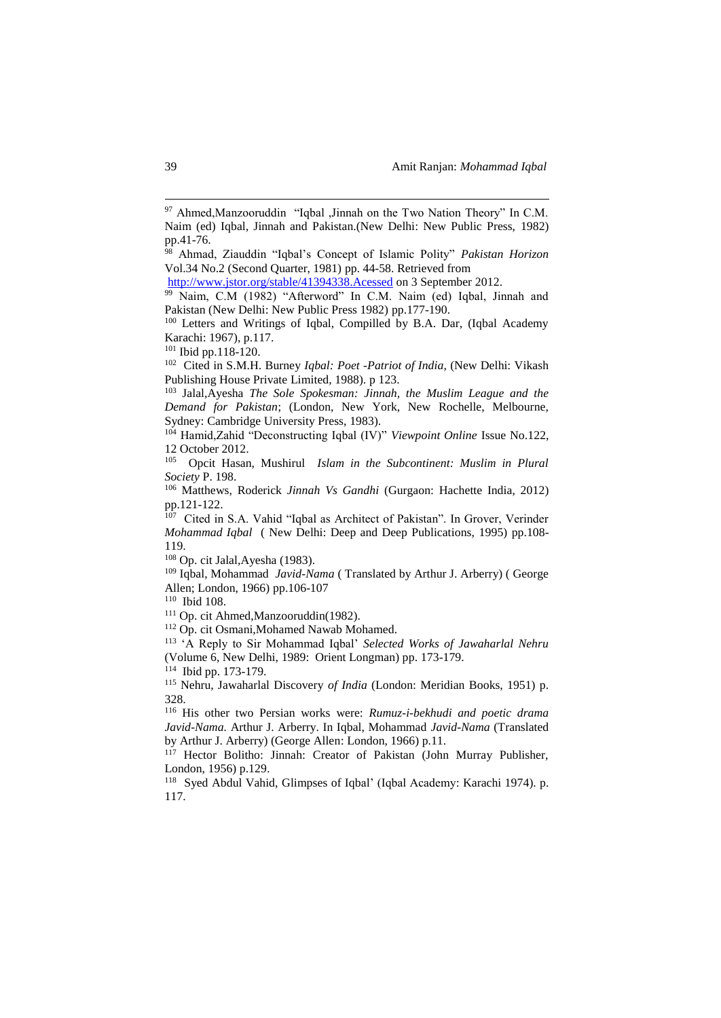<http://www.jstor.org/stable/41394338.Acessed> on 3 September 2012.

102 Cited in S.M.H. Burney *Iqbal: Poet -Patriot of India*, (New Delhi: Vikash Publishing House Private Limited, 1988). p 123.

<sup>103</sup> Jalal,Ayesha *The Sole Spokesman: Jinnah, the Muslim League and the Demand for Pakistan*; (London, New York, New Rochelle, Melbourne, Sydney: Cambridge University Press, 1983).

<sup>104</sup> Hamid,Zahid "Deconstructing Iqbal (IV)" *Viewpoint Online* Issue No.122, 12 October 2012.

105 Opcit Hasan, Mushirul *Islam in the Subcontinent: Muslim in Plural Society* P. 198.

<sup>106</sup> Matthews, Roderick *Jinnah Vs Gandhi* (Gurgaon: Hachette India, 2012) pp.121-122.

<sup>107</sup> Cited in S.A. Vahid "Iqbal as Architect of Pakistan". In Grover, Verinder *Mohammad Iqbal* ( New Delhi: Deep and Deep Publications, 1995) pp.108- 119.

<sup>108</sup> Op. cit Jalal,Ayesha (1983).

<sup>109</sup> Iqbal, Mohammad *Javid-Nama* ( Translated by Arthur J. Arberry) ( George Allen; London, 1966) pp.106-107

110 Ibid 108.

<sup>111</sup> Op. cit Ahmed,Manzooruddin(1982).

<sup>112</sup> Op. cit Osmani, Mohamed Nawab Mohamed.

<sup>113</sup> 'A Reply to Sir Mohammad Iqbal' *Selected Works of Jawaharlal Nehru* (Volume 6, New Delhi, 1989: Orient Longman) pp. 173-179.

114 Ibid pp. 173-179.

<sup>115</sup> Nehru, Jawaharlal Discovery *of India* (London: Meridian Books, 1951) p. 328.

<sup>116</sup> His other two Persian works were: *Rumuz-i-bekhudi and poetic drama Javid-Nama.* Arthur J. Arberry. In Iqbal, Mohammad *Javid-Nama* (Translated by Arthur J. Arberry) (George Allen: London, 1966) p.11.

<sup>117</sup> Hector Bolitho: Jinnah: Creator of Pakistan (John Murray Publisher, London, 1956) p.129.

<sup>118</sup> Syed Abdul Vahid, Glimpses of Iqbal' (Iqbal Academy: Karachi 1974). p. 117.

1

<sup>97</sup> Ahmed,Manzooruddin "Iqbal ,Jinnah on the Two Nation Theory" In C.M. Naim (ed) Iqbal, Jinnah and Pakistan.(New Delhi: New Public Press, 1982) pp.41-76.

<sup>98</sup> Ahmad, Ziauddin "Iqbal's Concept of Islamic Polity" *Pakistan Horizon* Vol.34 No.2 (Second Quarter, 1981) pp. 44-58. Retrieved from

<sup>&</sup>lt;sup>99</sup> Naim, C.M (1982) "Afterword" In C.M. Naim (ed) Iqbal, Jinnah and Pakistan (New Delhi: New Public Press 1982) pp.177-190.

<sup>&</sup>lt;sup>100</sup> Letters and Writings of Iqbal, Compilled by B.A. Dar, (Iqbal Academy Karachi: 1967), p.117.

<sup>101</sup> Ibid pp.118-120.